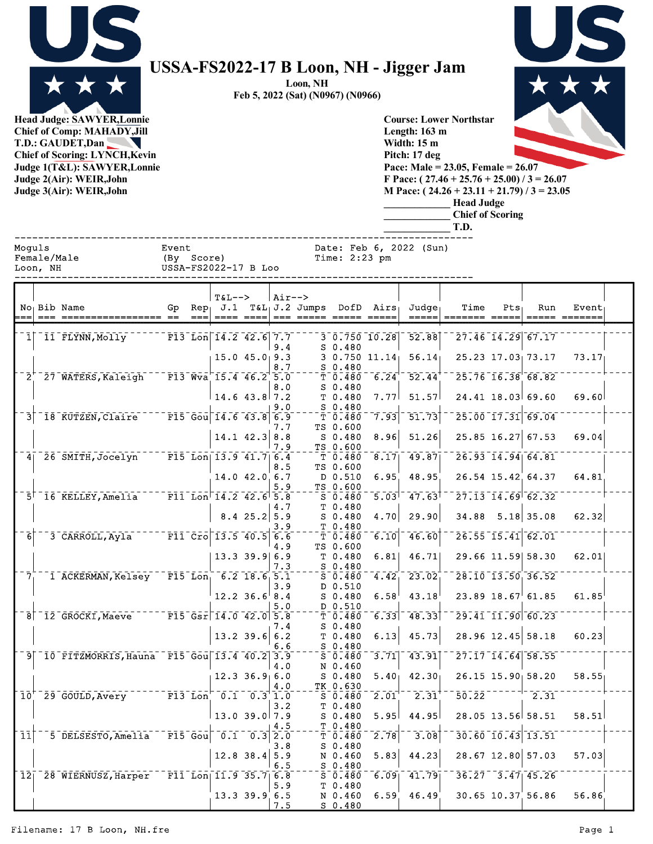

## **USSA-FS2022-17 B Loon, NH - Jigger Jam**

**Loon, NH Feb 5, 2022 (Sat) (N0967) (N0966)**

**Head Judge: SAWYER,Lonnie Chief of Comp: MAHADY,Jill T.D.: GAUDET,Dan**  N **Chief of Scoring: LYNCH,Kevin Judge 1(T&L): SAWYER,Lonnie Judge 2(Air): WEIR,John Judge 3(Air): WEIR,John** 



**Course: Lower Northstar Length: 163 m Width: 15 m Pitch: 17 deg Pace: Male = 23.05, Female = 26.07 F Pace: ( 27.46 + 25.76 + 25.00) / 3 = 26.07 M Pace: ( 24.26 + 23.11 + 21.79) / 3 = 23.05 \_\_\_\_\_\_\_\_\_\_\_\_\_ Head Judge \_\_\_\_\_\_\_\_\_\_\_\_\_ Chief of Scoring**

**\_\_\_\_\_\_\_\_\_\_\_\_\_ T.D.**

|                 | Moquls<br>Event<br>Date: Feb 6, 2022 (Sun)<br>Female/Male<br>(By Score)<br>Time: $2:23$ pm<br>USSA-FS2022-17 B Loo<br>Loon, NH |                                                  |  |                           |                                                                                                                                   |                           |        |                                          |                                                   |                   |                                                                                          |                          |                   |                                  |                        |  |
|-----------------|--------------------------------------------------------------------------------------------------------------------------------|--------------------------------------------------|--|---------------------------|-----------------------------------------------------------------------------------------------------------------------------------|---------------------------|--------|------------------------------------------|---------------------------------------------------|-------------------|------------------------------------------------------------------------------------------|--------------------------|-------------------|----------------------------------|------------------------|--|
|                 |                                                                                                                                | No Bib Name                                      |  | $== =$                    | <b>T&amp;L--&gt;</b>                                                                                                              |                           | Air--> | <u> ==== ====  === ===== ===== =====</u> |                                                   |                   | $Gp$ Rep J.1 T&L J.2 Jumps DofD Airs Judge<br>$\qquad \qquad \overline{\qquad \qquad }=$ | Time<br>$=$ ====== ===== | Pts <sub>1</sub>  | Run                              | Event<br>===== ======= |  |
|                 |                                                                                                                                | 1 11 FLYNN, Molly                                |  |                           | $\overline{r}$ $\overline{r}$ $\overline{13}$ $\overline{L}$ $\overline{on}$ $\overline{14.2}$ $\overline{42.6}$ $\overline{7.7}$ |                           |        |                                          |                                                   |                   | $3\overline{0.750}$ 10.28 52.88                                                          |                          |                   | 27.46 14.29 67.17                |                        |  |
|                 |                                                                                                                                |                                                  |  |                           |                                                                                                                                   |                           | 9.4    |                                          | $S_0.480$                                         |                   |                                                                                          |                          |                   |                                  |                        |  |
|                 |                                                                                                                                |                                                  |  |                           | $15.0$ $45.0$ $9.3$                                                                                                               |                           | 8.7    |                                          | $S_0.480$                                         |                   | $3\;\;0.750\;\;11.14$ 56.14                                                              |                          |                   | 25.23 17.03 73.17                | 73.17                  |  |
|                 |                                                                                                                                | $2^{+}$ 27 WATERS, Kaleigh F13 Wva 15.4 46.2 5.0 |  |                           |                                                                                                                                   |                           |        |                                          | $\bar{T}$ $\bar{0}$ $\bar{4}$ $\bar{8}$ $\bar{0}$ |                   | $-6.24 - 52.44$                                                                          |                          |                   | $25.76 - 16.38$ 68.82            |                        |  |
|                 |                                                                                                                                |                                                  |  |                           | $14.6$ 43.8 7.2                                                                                                                   |                           | 8.0    |                                          | $S_0.480$<br>T 0.480                              | 7.77              | 51.57                                                                                    |                          |                   | $24.41$ 18.03 69.60              | 69.60                  |  |
|                 |                                                                                                                                | $3$ $18$ $KUTZEN, CIAire$                        |  |                           | $-$ F15 Gou 14.6 43.8 6.9                                                                                                         |                           | 9.0    |                                          | $-250.480$                                        | 7.93              | $\overline{51.73}$                                                                       |                          |                   | 25.00 17.31 69.04                |                        |  |
|                 |                                                                                                                                |                                                  |  |                           |                                                                                                                                   |                           | 7.7    |                                          | T <sub>0.480</sub><br>TS 0.600                    |                   |                                                                                          |                          |                   |                                  |                        |  |
|                 |                                                                                                                                |                                                  |  |                           | $14.1$ $42.3$ 8.8                                                                                                                 |                           | 7.9    |                                          | S 0.480<br>TS 0.600                               | 8.96              | 51.26                                                                                    |                          |                   | $25.85$ 16.27 67.53              | 69.04                  |  |
|                 |                                                                                                                                | 4 26 SMITH, Jocelyn F15 Lon 13.9 41.7 6.4        |  |                           |                                                                                                                                   |                           |        |                                          |                                                   |                   | $\bar{T}$ 0.480 $\bar{8}$ .17 49.87                                                      |                          |                   | $26.93$ $14.94$ 64.81            |                        |  |
|                 |                                                                                                                                |                                                  |  |                           | 14.0 42.0 6.7                                                                                                                     |                           | 8.5    |                                          | TS 0.600<br>D 0.510                               | 6.95              | 48.95                                                                                    |                          |                   | 26.54 15.42 64.37                | 64.81                  |  |
|                 |                                                                                                                                |                                                  |  |                           |                                                                                                                                   |                           | 5.9    |                                          | TS 0.600                                          |                   |                                                                                          |                          |                   | $27.13$ $14.69$ $62.32$          |                        |  |
|                 |                                                                                                                                | 5 16 KELLEY, Amelia F11 Lon 14.2 42.6 5.8        |  |                           |                                                                                                                                   |                           | 4.7    |                                          | S 0.480<br>T 0.480                                |                   | $-5.03$ <sup>1-</sup> 47.63 <sup>1</sup>                                                 |                          |                   |                                  |                        |  |
|                 |                                                                                                                                |                                                  |  |                           |                                                                                                                                   | $8.4$ 25.2 5.9            |        |                                          | $S_0.480$<br>T 0.480                              | 4.70              | 29.90                                                                                    |                          |                   | 34.88 5.18 35.08                 | 62.32                  |  |
| 6               |                                                                                                                                | 3 CARROLL, Ayla F11 Cro 13.5 40.5 6.6            |  |                           |                                                                                                                                   |                           | 3.9    |                                          | T 0.480                                           | 6.10              | 46.60                                                                                    |                          |                   | $26.55$ <sup>-15.41 62.01</sup>  |                        |  |
|                 |                                                                                                                                |                                                  |  |                           | $13.3$ 39.9 6.9                                                                                                                   |                           | 4.9    |                                          | TS 0.600<br>T 0.480                               | 6.81              | 46.71                                                                                    |                          |                   | 29.66 11.59 58.30                | 62.01                  |  |
|                 |                                                                                                                                |                                                  |  |                           |                                                                                                                                   |                           | 7.3    |                                          | $S$ 0.480                                         |                   |                                                                                          |                          |                   |                                  |                        |  |
| 7 <sub>1</sub>  |                                                                                                                                | I ACKERMAN, Kelsey F15 Lon, 6.2 18.6 5.1         |  |                           |                                                                                                                                   |                           | 3.9    |                                          | $S_0.480$<br>D 0.510                              | 4.42              | 23.02                                                                                    |                          |                   | 28.10 13.50 36.52                |                        |  |
|                 |                                                                                                                                |                                                  |  |                           | $12.2$ 36.6 8.4                                                                                                                   |                           |        |                                          | $S$ 0.480                                         | 6.58              | 43.18                                                                                    |                          |                   | $23.89$ 18.67 61.85              | 61.85                  |  |
|                 |                                                                                                                                | 8 12 GROCKI, Maeve F15 Gsr 14.0 42.0 5.8         |  |                           |                                                                                                                                   |                           | 5.0    |                                          | D 0.510<br>T <sub>0.480</sub>                     | 6.33              | 48.33                                                                                    |                          |                   | $29.41$ $11.90$ $60.23$          |                        |  |
|                 |                                                                                                                                |                                                  |  |                           |                                                                                                                                   |                           | 7.4    |                                          | $S$ 0.480                                         |                   |                                                                                          |                          |                   |                                  |                        |  |
|                 |                                                                                                                                |                                                  |  |                           | $13.2$ 39.6 6.2                                                                                                                   |                           | 6.6    |                                          | T0.480<br>$S$ 0.480                               | 6.13              | 45.73                                                                                    |                          |                   | 28.96 12.45 58.18                | 60.23                  |  |
|                 |                                                                                                                                | 9 10 FITZMORRIS, Hauna F15 Gou 13.4 40.2 3.9     |  |                           |                                                                                                                                   |                           | 4.0    |                                          | $5 - 0.480$<br>N 0.460                            | $\overline{3.71}$ | 73.91                                                                                    |                          |                   | $27.17$ $14.64$ 58.55            |                        |  |
|                 |                                                                                                                                |                                                  |  |                           | $12.3$ $36.9$ 6.0                                                                                                                 |                           |        |                                          | S 0.480                                           |                   | $5.40$ 42.30                                                                             |                          |                   | $26.15$ $15.90$ $58.20$          | 58.55                  |  |
|                 |                                                                                                                                | $10^{17}$ 29 GOULD, Avery F13 Lon 0.1 0.3 1.0    |  |                           |                                                                                                                                   |                           | 4.0    |                                          | TK 0.630<br>S 0.480                               |                   | $2.01$ $2.31$                                                                            |                          |                   | $50.22$ <sup>--------</sup> 2.31 |                        |  |
|                 |                                                                                                                                |                                                  |  |                           |                                                                                                                                   |                           | 3.2    |                                          | T 0.480                                           |                   |                                                                                          |                          |                   |                                  |                        |  |
|                 |                                                                                                                                |                                                  |  |                           | $13.0$ 39.0 7.9                                                                                                                   |                           | 4.5    |                                          | S 0.480<br>T 0.480                                |                   | $5.95$ 44.95                                                                             |                          | 28.05 13.56 58.51 |                                  | 58.51                  |  |
| $\overline{11}$ |                                                                                                                                | 5 DELSESTO, Amelia                               |  | $\bar{F}$ 15 $\bar{G}$ ou |                                                                                                                                   | $0.1 \quad 0.3 \quad 2.0$ |        |                                          | $\overline{T}$ $\overline{0.480}$                 | $\overline{2.78}$ | $\overline{3.08}$                                                                        |                          |                   | 30.60 10.43 13.51                |                        |  |
|                 |                                                                                                                                |                                                  |  |                           | $12.8$ 38.4 5.9                                                                                                                   |                           | 3.8    |                                          | $S_0.480$<br>N 0.460                              | 5.83              | 44.23                                                                                    |                          |                   | 28.67 12.80 57.03                | 57.03                  |  |
|                 |                                                                                                                                | 12 <sup>28</sup> WIERNUSZ, Harper                |  |                           |                                                                                                                                   |                           | 6.5    |                                          | $S_0.480$                                         | 6.09              |                                                                                          |                          |                   | $36.27 - 3.47$ 45.26             |                        |  |
|                 |                                                                                                                                |                                                  |  |                           | $\boxed{F11}$ Lon $\boxed{11.9}$ 35.7 $\boxed{6.8}$                                                                               |                           | 5.9    |                                          | $S$ 0.480<br>T 0.480                              |                   | $\overline{41.79}$                                                                       |                          |                   |                                  |                        |  |
|                 |                                                                                                                                |                                                  |  |                           | $13.3$ 39.9 6.5                                                                                                                   |                           | 7.5    |                                          | N 0.460<br>$S$ 0.480                              | 6.59              | 46.49                                                                                    |                          |                   | 30.65 10.37 56.86                | 56.86                  |  |

## Filename: 17 B Loon, NH.fre Page 1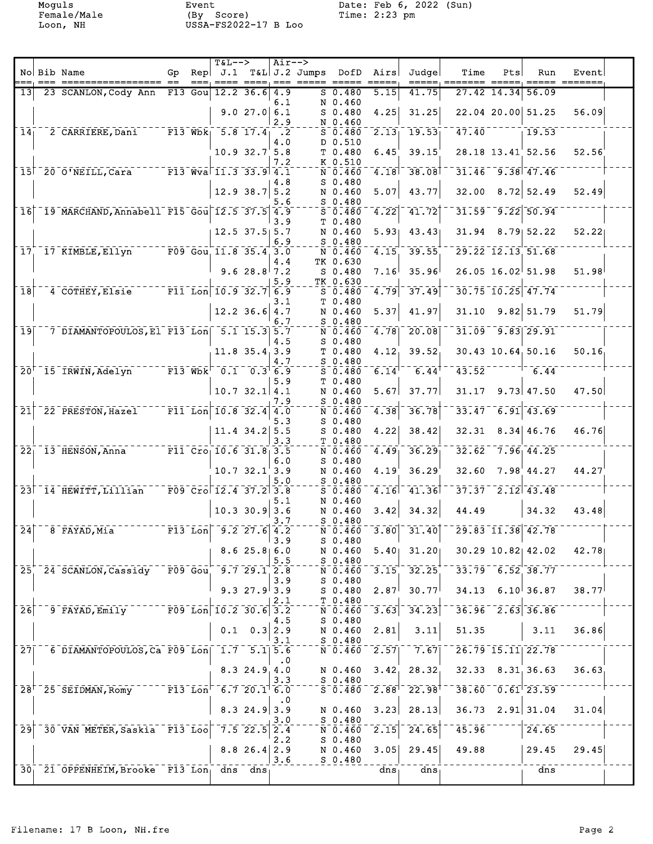Moguls Event Date: Feb 6, 2022 (Sun) Female/Male (By Score) Time: 2:23 pm Loon, NH USSA-FS2022-17 B Loo

|                  | No Bib Name<br>================= ==                                                                                                       | Gp<br>$=$ $=$ $-$ | <b>T&amp;L--&gt;</b> |                 |                  | $Air--$<br>$\text{Rep}$ J.1 T&L J.2 Jumps DofD Airs<br>==== ====, === ===== === |                                                                          |                   | Judge<br>=====, =====                              | Time                   | Pts | Run                                          | Event |
|------------------|-------------------------------------------------------------------------------------------------------------------------------------------|-------------------|----------------------|-----------------|------------------|---------------------------------------------------------------------------------|--------------------------------------------------------------------------|-------------------|----------------------------------------------------|------------------------|-----|----------------------------------------------|-------|
| 13               | 23 SCANLON, Cody Ann                                                                                                                      | $F13$ Gou         |                      | $12.2$ 36.6     | 4.9              |                                                                                 | S 0.480                                                                  | 5.15              | 41.75                                              |                        |     | 27.42 14.34 56.09                            |       |
|                  |                                                                                                                                           |                   |                      | 9.027.06.1      | 6.1<br>2.9       |                                                                                 | N 0.460<br>$S_0.480$<br>N 0.460                                          | 4.25              | 31.25                                              |                        |     | 22.04 20.00 51.25                            | 56.09 |
|                  | 14 <sub>1</sub> 2 CARRIERE, Dani F13 Wbk <sub>1</sub> 5.8 17.4 <sub>1</sub> .2                                                            |                   |                      |                 | 4.0              |                                                                                 | $5 - 0.480$<br>D 0.510                                                   |                   | $\overline{2.13}$ 19.53                            | 47.40                  |     | 19.53                                        |       |
|                  |                                                                                                                                           |                   |                      | 10.9 32.7 5.8   |                  |                                                                                 | T0.480                                                                   | 6.45              | 39.15                                              |                        |     | 28.18 13.41 52.56                            | 52.56 |
|                  | 15 20 0'NEILL, Cara F13 Wva 11.3 33.9 4.1                                                                                                 |                   |                      |                 | 7.2              |                                                                                 | K 0.510<br>N 0.460                                                       |                   | $-4.18$ <sup>-</sup> 38.08                         |                        |     | $31.46 - 9.38$ $47.46$                       |       |
|                  |                                                                                                                                           |                   |                      | 12.9 38.7 5.2   | 4.8<br>5.6       |                                                                                 | $S_0.480$<br>N 0.460<br>$S_0.480$                                        |                   | $5.07$ 43.77                                       | 32.00                  |     | $8.72$ 52.49                                 | 52.49 |
| $\overline{1}$ 6 | <sup>-</sup> 19 MARCHAND, Annabell F15 Gou 12.5 37.5 4.9                                                                                  |                   |                      |                 | 3.9              |                                                                                 | $S$ 0.480<br>T <sub>0.480</sub>                                          |                   | $\sqrt{4.22}$ $\sqrt{41.72}$                       | 31.59                  |     | $-9.22$ 50.94                                |       |
|                  |                                                                                                                                           |                   |                      | $12.5$ 37.5 5.7 | 6.9              |                                                                                 | N 0.460<br>$S$ 0.480                                                     |                   | $5.93$ 43.43                                       |                        |     | $31.94$ 8.79 52.22                           | 52.22 |
|                  | 17 17 KIMBLE, Ellyn F09 Gou 11.8 35.4 3.0                                                                                                 |                   |                      |                 |                  |                                                                                 | N 0.460                                                                  |                   | $4.15 - 39.55$                                     |                        |     | 29.22 12.13 51.68                            |       |
|                  |                                                                                                                                           |                   |                      | 9.6 28.8 $7.2$  | 4.4<br>5.9       |                                                                                 | TK 0.630<br>$S$ 0.480<br>TK 0.630                                        | 7.16              | 35.96                                              |                        |     | $26.05$ 16.02 51.98                          | 51.98 |
| $\overline{18}$  | 4 COTHEY, Elsie F11 Lon 10.9 32.7 6.9                                                                                                     |                   |                      |                 |                  |                                                                                 | $S$ 0.480<br>T <sub>0.480</sub>                                          |                   | $\sqrt{4.79}$ $\sqrt{37.49}$                       |                        |     | $30.75 - 10.25 - 47.74$                      |       |
|                  |                                                                                                                                           |                   |                      | $12.2$ 36.6 4.7 | 3.1<br>6.7       |                                                                                 | N 0.460<br>$S_0.480$                                                     |                   | $5.37$ 41.97                                       | 31.10                  |     | $9.82$ 51.79                                 | 51.79 |
| 19 <sup>1</sup>  | $-7$ DIAMANTOPOULOS, El F13 Lon $5.1$ 15.3 5.7                                                                                            |                   |                      |                 | 4.5              |                                                                                 | $S_0.480$                                                                |                   | $\bar{N}$ 0.460 $\bar{4}$ .78 $\bar{20.08}$        |                        |     | $31.09 - 9.83$ 29.91                         |       |
|                  |                                                                                                                                           |                   |                      | $11.8$ 35.4 3.9 | 4.7              |                                                                                 | T <sub>0.480</sub><br>$S$ 0.480                                          |                   | 4.12 39.52                                         |                        |     | $30.43$ $10.64$ , $50.16$                    | 50.16 |
|                  | 20 <sup>+-</sup> 15 <sup>-</sup> IRWIN, Adelyn <sup>-----</sup> F13 <sup>-</sup> Wbk <sup>--</sup> 0.1 <sup>--</sup> 0.3 <sup>+</sup> 6.9 |                   |                      |                 |                  |                                                                                 | $S = 0.480$<br>T <sub>0.480</sub>                                        |                   | $\overline{6.14}$ <sup>---</sup> 6.44 <sup>+</sup> |                        |     | $43.52$ <sup>---------</sup> 6.44            |       |
|                  |                                                                                                                                           |                   |                      | 10.7 32.1   4.1 | 5.9<br>7.9       |                                                                                 | N 0.460<br>$S$ 0.480                                                     |                   | $5.67$ 37.77                                       | 31.17                  |     | $9.73 \mid 47.50$                            | 47.50 |
| $\overline{21}$  | 22 PRESTON, Hazel F11 Lon 10.8 32.4 4.0                                                                                                   |                   |                      |                 |                  |                                                                                 | N 0.460                                                                  | 4.38              | $-36.78$                                           | 33.47                  |     | $\overline{6.91}$ $\overline{43.69}$         |       |
|                  |                                                                                                                                           |                   |                      | $11.4$ 34.2 5.5 | 5.3<br>3.3       |                                                                                 | $S_0.480$<br>$S_0.480$<br>T 0.480                                        | 4.22              | 38.42                                              | 32.31                  |     | 8.34   46.76                                 | 46.76 |
|                  | 22 <sup>-1</sup> 13 HENSON, Anna <sup>------</sup> F11 <sup>-</sup> Cro <sub>1</sub> 10.6 31.8 <sub>1</sub> 3.5                           |                   |                      |                 | 6.0              |                                                                                 | N 0.460<br>$S$ 0.480                                                     | 4.49              | 36.29                                              |                        |     | $32.62 - 7.96$ 44.25                         |       |
|                  |                                                                                                                                           |                   |                      | $10.7$ 32.1 3.9 | 5.0              |                                                                                 | N 0.460<br>$S$ 0.480                                                     | 4.19              | 36.29                                              | 32.60                  |     | 7.98'44.27                                   | 44.27 |
|                  | 23 14 HEWITT, Lillian F09 Cro 12.4 37.2 3.8                                                                                               |                   |                      |                 | 5.1              |                                                                                 | $5 - 0.480$<br>N 0.460                                                   |                   | $4.16$ <sup>-</sup> $41.36$ <sup>+</sup>           |                        |     | $37.37$ <sup>--</sup> 2.12 <sup>-43.48</sup> |       |
|                  |                                                                                                                                           |                   |                      | $10.3$ 30.9 3.6 | 3.7              |                                                                                 | N 0.460<br>$S$ 0.480                                                     | 3.42              | 34.32                                              | 44.49                  |     | 34.32                                        | 43.48 |
| $\bar{2}\bar{4}$ |                                                                                                                                           |                   |                      |                 | 13.9             |                                                                                 | N 0.460<br>S 0.480                                                       |                   | $-3.80$ <sup>-</sup> $31.40$ <sup>--</sup>         |                        |     | $\sqrt{29.83}$ $\sqrt{11.38}$ $\sqrt{42.78}$ |       |
|                  |                                                                                                                                           |                   |                      | 8.625.860       | 5.5              |                                                                                 | N 0.460<br>$S_0.480$                                                     |                   | $5.40$ 31.20                                       |                        |     | $30.29$ 10.82 42.02                          | 42.78 |
|                  | 25 24 SCANLON, Cassidy F09 Gou                                                                                                            |                   |                      | 9.729.12.8      | 3.9              |                                                                                 | N 0.460<br>$S_0.480$                                                     |                   | $3.15 - 32.25$                                     | $33.79 - 6.52 - 38.77$ |     |                                              |       |
|                  |                                                                                                                                           |                   |                      | 9.327.93.9      | 2.1              |                                                                                 | S 0.480<br>T 0.480                                                       |                   | $2.87$ 30.77                                       |                        |     | $34.13$ 6.10 36.87                           | 38.77 |
| $\overline{26}$  | 9 FAYAD, Emily F09 Lon 10.2 30.6 3.2                                                                                                      |                   |                      |                 | 4.5              |                                                                                 | N 0.460<br>$S$ 0.480                                                     |                   | $\begin{bmatrix} 3.63 \end{bmatrix}$ 34.23         |                        |     | $36.96 - 2.63$ 36.86                         |       |
|                  |                                                                                                                                           |                   | 0.1                  |                 | $0.3$ 2.9<br>3.1 |                                                                                 | N 0.460<br>$S$ 0.480                                                     | 2.81              | 3.11                                               | 51.35                  |     | 3.11                                         | 36.86 |
| 27               | $6$ DIAMANTOPOULOS, Ca F09 Lon 1.7 5.1 5.6                                                                                                |                   |                      |                 | $\cdot$ 0        |                                                                                 | $N$ <sup>-<math>\bar{0}</math></sup> - $\bar{4}$ $\bar{6}$ $\bar{0}$     | $\overline{2.57}$ | $-7.67$                                            |                        |     | 26.79 15.11 22.78                            |       |
|                  |                                                                                                                                           |                   |                      | $8.3$ 24.9 4.0  | 3.3              |                                                                                 | N 0.460<br>$S$ 0.480                                                     |                   | $3.42 \quad 28.32$                                 |                        |     | $32.33$ $8.31$ $36.63$                       | 36.63 |
|                  | $28^{\dagger}$ - 25 SEIDMAN, Romy F13 Lon <sup>-6.7</sup> 20.1 <sup>1</sup> 6.0                                                           |                   |                      |                 | $\cdot$ 0        |                                                                                 | $5 - 0.480$                                                              |                   | $2.88$ <sup>1-</sup> 22.98 <sup>1-</sup>           |                        |     | $38.60 - 0.61$ 23.59                         |       |
|                  |                                                                                                                                           |                   |                      | $8.3$ 24.9 3.9  | 3.0              |                                                                                 | N 0.460<br>$S_0.480$                                                     |                   | $3.23$ 28.13                                       |                        |     | $36.73$ 2.91 31.04                           | 31.04 |
| $\bar{2}\bar{9}$ | 30 VAN METER, Saskia F13 Loo                                                                                                              |                   |                      | $7.5$ 22.5 2.4  | 2.2              |                                                                                 | $\bar{N}$ $\bar{0}$ $\bar{4}$ $\bar{6}$ $\bar{0}$ $\bar{0}$<br>$S_0.480$ |                   | $\begin{bmatrix} 2.15 & 24.65 \end{bmatrix}$       | 45.96                  |     | 24.65                                        |       |
|                  |                                                                                                                                           |                   |                      | $8.8$ 26.4 2.9  | 3.6              |                                                                                 | N 0.460<br>$S_0.480$                                                     |                   | $3.05$ 29.45                                       | 49.88                  |     | 29.45                                        | 29.45 |
|                  | 30 21 OPPENHEIM, Brooke F13 Long dns dns                                                                                                  |                   |                      |                 |                  |                                                                                 |                                                                          | dns               | dns                                                |                        |     | dns                                          |       |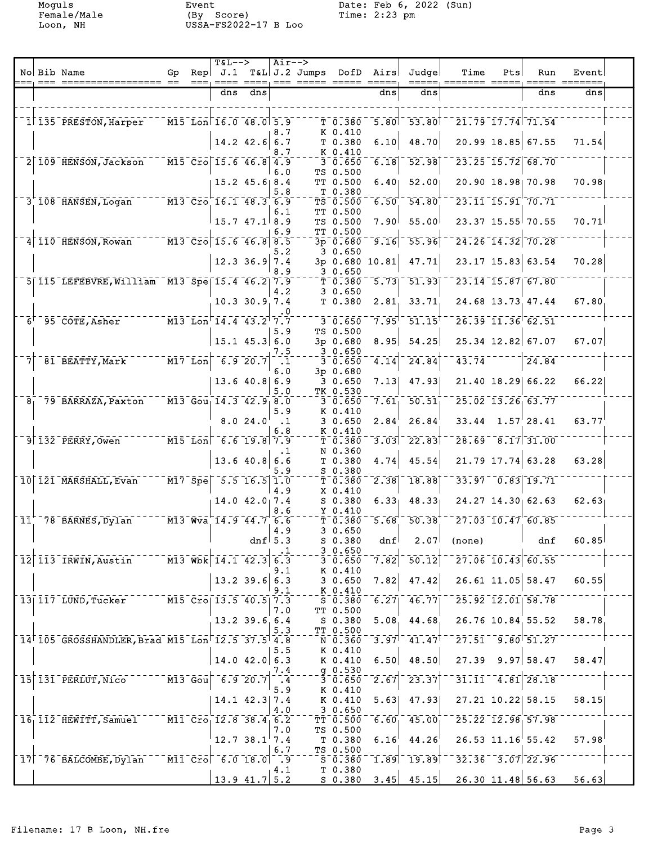Moguls Event Date: Feb 6, 2022 (Sun) Female/Male (By Score) Time: 2:23 pm Loon, NH USSA-FS2022-17 B Loo

|  | No Bib Name                                                           | Gp | <b>T&amp;L--&gt;</b><br>$\text{Rep}$ J.1<br>$=$ ==, ==== ====,            |                   |                        | Air--><br>T&L J.2 Jumps DofD Airs<br>=== ===== ===== ===== |                                                                               |                                        | Judge                                                             | Time                                                     | Pts | Run                                                  | Event |  |
|--|-----------------------------------------------------------------------|----|---------------------------------------------------------------------------|-------------------|------------------------|------------------------------------------------------------|-------------------------------------------------------------------------------|----------------------------------------|-------------------------------------------------------------------|----------------------------------------------------------|-----|------------------------------------------------------|-------|--|
|  |                                                                       |    | dns                                                                       | dns               |                        |                                                            |                                                                               | dns                                    | dns                                                               |                                                          |     | dns                                                  | dns   |  |
|  | 1 135 PRESTON, Harper                                                 |    | $\overline{M15}$ Lon $\overline{16.0}$ 48.0 5.9                           |                   | 8.7                    |                                                            | T <sub>0.380</sub><br>K 0.410                                                 |                                        | $5.80$ <sup>-</sup> $53.80$                                       | $\overline{21.79}$ $\overline{17.74}$ $\overline{71.54}$ |     |                                                      |       |  |
|  |                                                                       |    |                                                                           | $14.2$ 42.6 6.7   | 8.7                    |                                                            | T 0.380<br>K 0.410                                                            | 6.10                                   | 48.70                                                             |                                                          |     | 20.99 18.85 67.55                                    | 71.54 |  |
|  | 2 109 HENSON, Jackson                                                 |    | $\sqrt{15}$ $\bar{C}$ ro $\sqrt{15.6}$ 46.8 4.9                           |                   |                        |                                                            | $\overline{3}\overline{0}\overline{0}\overline{0}$                            | 6.18                                   | 52.98                                                             |                                                          |     | 23.25 15.72 68.70                                    |       |  |
|  |                                                                       |    |                                                                           | $15.2$ $45.6$ 8.4 | 6.0<br>5.8             |                                                            | TS 0.500<br>TT 0.500<br>T 0.380                                               |                                        | $6.40$ 52.00                                                      |                                                          |     | 20.90 18.98 70.98                                    | 70.98 |  |
|  | $3^{+}$ 108 HANSEN, Logan M13 Cro 16.1 48.3 6.9                       |    |                                                                           |                   | 6.1                    |                                                            | $TS$ $\bar{0}$ .500<br>TT 0.500                                               | $-6.50$                                | 54.80                                                             | $23.11$ $15.91$ $70.71$                                  |     |                                                      |       |  |
|  |                                                                       |    |                                                                           | $15.7$ 47.1 8.9   | 6.9                    |                                                            | TS 0.500<br>TT 0.500                                                          | 7.90 <sup>†</sup>                      | 55.00                                                             |                                                          |     | 23.37 15.55 70.55                                    | 70.71 |  |
|  | $4 110$ HENSON, Rowan $13$ Cro 15.6 46.8 8.5                          |    |                                                                           |                   | 5.2                    |                                                            | 3 0.650                                                                       | 3p 0.680 9.16                          | 55.96                                                             |                                                          |     | 24.26 14.32 70.28                                    |       |  |
|  |                                                                       |    |                                                                           | $12.3$ 36.9 7.4   | 8.9                    |                                                            | $-20.650$                                                                     | 3p 0.680 10.81                         | 47.71                                                             |                                                          |     | 23.17 15.83 63.54                                    | 70.28 |  |
|  | 5 115 LEFEBVRE, William M13 Spe 15.4 46.2 7.9                         |    |                                                                           |                   | 4.2                    |                                                            | T 0.380<br>30.650                                                             |                                        | $-5.73 - 51.93$                                                   |                                                          |     | $23.14$ $15.87$ 67.80                                |       |  |
|  |                                                                       |    |                                                                           | $10.3$ 30.9 7.4   | $\cdot$ 0              |                                                            | T 0.380                                                                       | 2.81                                   | 33.71                                                             |                                                          |     | 24.68 13.73 47.44                                    | 67.80 |  |
|  | $6^+$ 35 COTE, Asher $M13$ Lon <sup><math>-14.4</math></sup> 43.2 7.7 |    |                                                                           |                   | 5.9                    |                                                            | $\bar{3}$ $\bar{0}$ $\bar{.}$ $\bar{6}$ $\bar{5}$ $\bar{0}$<br>TS 0.500       |                                        | $\bar{7}.\bar{9}5^{\dagger\,}$ 51.15 $^{\dagger}$                 |                                                          |     | $\sqrt{26.39}$ $\sqrt{11.36}$ $\sqrt{62.51}$         |       |  |
|  |                                                                       |    |                                                                           | $15.1$ 45.3 6.0   | 7.5                    |                                                            | 3p 0.680<br>30.650                                                            | 8.95                                   | 54.25                                                             |                                                          |     | 25.34 12.82 67.07                                    | 67.07 |  |
|  |                                                                       |    |                                                                           |                   | $\cdot$ 1<br>6.0       |                                                            | $\bar{3}$ $\bar{0}$ , $\bar{6}$ 50 $^{-1}$<br>3p 0.680                        | 4.14                                   | $\overline{24.84}$                                                | $\bar{4}\bar{3}\bar{.}\bar{7}\bar{4}$                    |     | $-724.84$                                            |       |  |
|  |                                                                       |    |                                                                           | $13.6$ 40.8 6.9   | 5.0                    |                                                            | 3 0.650<br>TK 0.530                                                           | 7.13                                   | 47.93                                                             |                                                          |     | 21.40 18.29 66.22                                    | 66.22 |  |
|  | $81$ 79 BARRAZA, Paxton                                               |    | $\overline{M13}$ Gou $\overline{14.3}$ $\overline{42.9}$ $\overline{8.0}$ |                   | 5.9                    |                                                            | 30.650<br>K 0.410                                                             | 7.61                                   | $\overline{50.51}$                                                | $25.02 - 13.26 - 63.77$                                  |     |                                                      |       |  |
|  |                                                                       |    |                                                                           | 8.024.0           | $\cdot$ 1<br>6.8       |                                                            | 30.650<br>K 0.410                                                             | $2.84$ <sup><math>\degree</math></sup> | 26.84                                                             |                                                          |     | $33.44$ $1.57$ 28.41                                 | 63.77 |  |
|  | 9 132 PERRY, Owen M15 Lon 6.6 19.8 7.9                                |    |                                                                           |                   | $\cdot$ 1              |                                                            | $\bar{T}$ 0.380<br>N 0.360                                                    | 3.03                                   | $-22.83$                                                          |                                                          |     | $\frac{1}{28.69}$ $\frac{1}{8.17}$ $\frac{1}{31.00}$ |       |  |
|  |                                                                       |    |                                                                           | 13.640.866.6      | 5.9                    |                                                            | T 0.380<br>S 0.380                                                            | 4.74                                   | 45.54                                                             |                                                          |     | $21.79$ 17.74 63.28                                  | 63.28 |  |
|  | 10 121 MARSHALL, Evan                                                 |    | $^{-1}$ M17 $^{-}$ Spe $^{-}$ 5.5 16.5 1.0 $^{-}$                         |                   | 4.9                    |                                                            | $\bar{\tau}$ $\bar{0}$ $\bar{\cdot}$ $\bar{3}$ $\bar{8}$ $\bar{0}$<br>X 0.410 | $\left[2.38\right]$                    | 18.88                                                             |                                                          |     | $33.97 - 0.83$ 19.71                                 |       |  |
|  |                                                                       |    |                                                                           | $14.0$ $42.0$ 7.4 | 8.6                    |                                                            | S 0.380<br>Y 0.410                                                            |                                        | $6.33$ $48.33$                                                    |                                                          |     | 24.27 14.30 62.63                                    | 62.63 |  |
|  | $11^{+}$ 78 BARNES, Dylan $13$ Wva $14.9$ 44.7 6.6                    |    |                                                                           |                   | 4.9                    |                                                            | $T$ 0.380<br>30.650                                                           |                                        | $5.68$ $50.38$ <sup>+--</sup>                                     | $\sqrt{27.03}$ $\sqrt{10.47}$ $\sqrt{60.85}$             |     |                                                      |       |  |
|  |                                                                       |    |                                                                           |                   | dnf $5.3$<br>$\cdot$ 1 |                                                            | $S$ 0.380<br>30.650                                                           | dnf                                    | 2.07                                                              | (none)                                                   |     | dnf                                                  | 60.85 |  |
|  | 12 113 IRWIN, Austin M13 Wbk 14.1 42.3 6.3                            |    |                                                                           |                   | 9.1                    |                                                            | $3 - 0.650$<br>K 0.410                                                        | $\left\lfloor 7.82 \right\rfloor$      | $\overline{50.12}$                                                | $27.06 - 10.43 - 60.55$                                  |     |                                                      |       |  |
|  |                                                                       |    |                                                                           | $13.2$ 39.6 6.3   | 9.1                    |                                                            | 30.650<br>$K_{0.4} = 410$                                                     | 7.82                                   | 47.42                                                             |                                                          |     | $26.61$ 11.05 58.47                                  | 60.55 |  |
|  | 13 117 LUND, Tucker M15 Cro 13.5 40.5 7.3                             |    |                                                                           |                   | 7.0                    |                                                            | $5 - 0.380$<br>TT 0.500                                                       |                                        | $6.27$ <sup>-46.77</sup>                                          | $25.92$ $12.01$ $58.78$                                  |     |                                                      |       |  |
|  |                                                                       |    |                                                                           | 13.2 39.6 6.4     | 5.3                    |                                                            | TT 0.500                                                                      |                                        | S 0.380 5.08 44.68                                                |                                                          |     | 26.76 10.84 55.52                                    | 58.78 |  |
|  | 14 105 GROSSHANDLER, Brad M15 Lon 12.5 37.5 4.8                       |    |                                                                           |                   | 5.5                    |                                                            | N0.360<br>K 0.410                                                             |                                        | $-3.97$ <sup>-</sup> $-41.47$ <sup>+--</sup>                      |                                                          |     | $27.51 - 9.80$ $51.27$                               |       |  |
|  |                                                                       |    |                                                                           | $14.0$ $42.0$ 6.3 | 7.4                    |                                                            | K 0.410<br>$g$ 0.530                                                          | 6.50                                   | 48.50                                                             |                                                          |     | $27.39$ 9.97 58.47                                   | 58.47 |  |
|  | 15 131 PERLUT, Nico M13 Gou 6.9 20.7                                  |    |                                                                           |                   | $\ddotsc$<br>5.9       |                                                            | $3 - 0.650$<br>K 0.410                                                        | 2.67                                   | 23.37                                                             |                                                          |     | $31.11^{-4.81}$ 28.18                                |       |  |
|  |                                                                       |    |                                                                           | $14.1$ $42.3$ 7.4 | 4.0                    |                                                            | K 0.410<br>3 0.650                                                            | 5.63                                   | 47.93                                                             | 27.21 10.22 58.15                                        |     |                                                      | 58.15 |  |
|  | 16 112 HEWITT, Samuel M11 Cro 12.8 38.4 6.2                           |    |                                                                           |                   | 7.0                    |                                                            | TS 0.500                                                                      |                                        | $T\bar{T}$ 0.500 6.60 45.00                                       | $25.22$ $12.98$ $57.98$                                  |     |                                                      |       |  |
|  |                                                                       |    |                                                                           | $12.7$ 38.1 7.4   | 6.7                    |                                                            | T 0.380<br>TS 0.500                                                           | 6.16                                   | 44.26                                                             |                                                          |     | $26.53$ $11.16$ $55.42$                              | 57.98 |  |
|  | 17 76 BALCOMBE, Dylan M11 Cro 6.0 18.0 . 9                            |    |                                                                           |                   | 4.1                    |                                                            | T 0.380                                                                       |                                        | $^{-5}$ 5 $\overline{0}$ , 380 $^{-1}$ , 89 $^{-1}$ 19.89 $^{-1}$ |                                                          |     | $32.36 - 3.07$ 22.96                                 |       |  |
|  |                                                                       |    |                                                                           | 13.9 $41.7$ 5.2   |                        |                                                            |                                                                               |                                        |                                                                   | $S$ 0.380 3.45 45.15 26.30 11.48 56.63                   |     |                                                      | 56.63 |  |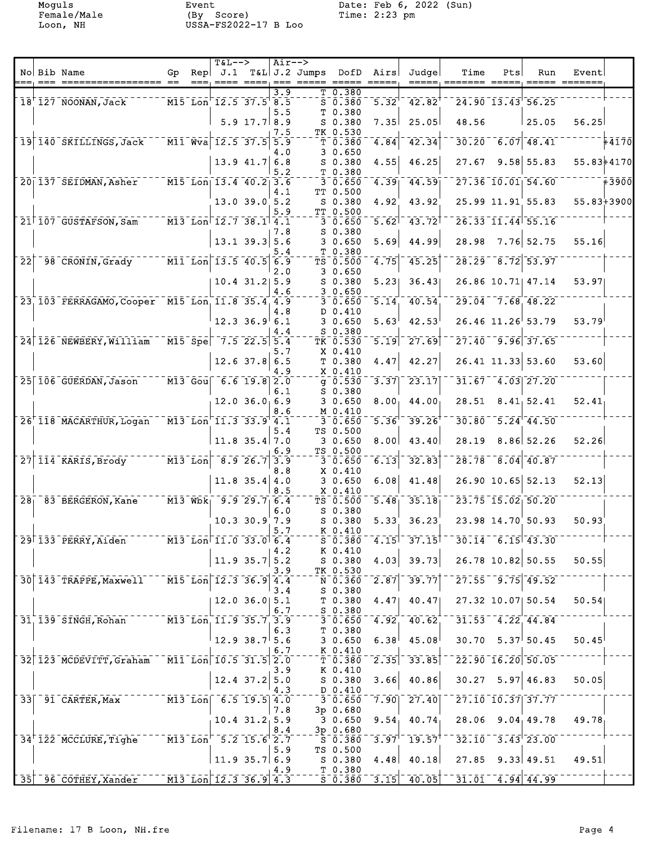Female/Male (By Score) Time: 2:23 pm Loon, NH USSA-FS2022-17 B Loo

Moguls Event Date: Feb 6, 2022 (Sun)

|                            |                                                         |    | <b>T&amp;L--&gt;</b>  |                                |     | Air-->                  |                                                                                          |                                        |                                                |                                            |     |                                              |                       |       |
|----------------------------|---------------------------------------------------------|----|-----------------------|--------------------------------|-----|-------------------------|------------------------------------------------------------------------------------------|----------------------------------------|------------------------------------------------|--------------------------------------------|-----|----------------------------------------------|-----------------------|-------|
|                            | No Bib Name                                             | Gp | $\text{Rep}$ J.1      |                                |     | T&L J.2 Jumps DofD Airs |                                                                                          |                                        | Judge                                          | Time<br>=====, ======= =====, ===== ====== | Pts | Run                                          | Event                 |       |
|                            |                                                         |    |                       |                                | 3.9 |                         | T0.380                                                                                   |                                        |                                                |                                            |     |                                              |                       |       |
|                            | 18'127 NOONAN, Jack M15 Lon 12.5 37.5 8.5               |    |                       |                                | 5.5 |                         | $\bar{s}$ <sup>-</sup> $\bar{0}$ . $\bar{3}\bar{8}\bar{0}$<br>T 0.380                    | $\overline{5.32}$                      | $42.82$ <sup>T</sup>                           |                                            |     | $24.90$ $13.43$ $56.25$                      |                       |       |
|                            |                                                         |    |                       | $5.9$ 17.7 8.9                 |     |                         | $S$ 0.380                                                                                | 7.35                                   | 25.05                                          | 48.56                                      |     | 125.05                                       | 56.25                 |       |
|                            | 19 140 SKILLINGS, Jack M11 Wva 12.5 37.5 5.9            |    |                       |                                | 7.5 |                         | TK 0.530                                                                                 |                                        |                                                |                                            |     |                                              |                       |       |
|                            |                                                         |    |                       |                                | 4.0 |                         | T 0.380<br>30.650                                                                        | 4.84                                   | 42.34                                          |                                            |     | $30.20 - 6.07$ 48.41                         |                       | 44170 |
|                            |                                                         |    |                       | $13.9$ 41.7 6.8                |     |                         | S 0.380                                                                                  | 4.55                                   | 46.25                                          |                                            |     | $27.67$ 9.58 55.83                           | 55.83+4170            |       |
|                            | 20 137 SEIDMAN, Asher M15 Lon 13.4 40.2 3.6             |    |                       |                                | 5.2 |                         | T 0.380<br>30.650                                                                        | 4.39                                   | 44.59                                          |                                            |     |                                              | $27.36 - 10.01$ 54.60 |       |
|                            |                                                         |    |                       |                                | 4.1 |                         | TT 0.500                                                                                 |                                        |                                                |                                            |     |                                              |                       |       |
|                            |                                                         |    |                       | $13.0$ $39.0$ $5.2$            | 5.9 |                         | S 0.380                                                                                  | 4.92                                   | 43.92                                          |                                            |     | $25.99$ $11.91$ $55.83$                      | $55.83 + 3900$        |       |
|                            | 21 107 GUSTAFSON, Sam M13 Lon 12.7 38.1 4.1             |    |                       |                                |     |                         | $IT_0.500$<br>3 0.650                                                                    | 5.62                                   | 43.72                                          |                                            |     | 26.33 11.44 55.16                            |                       |       |
|                            |                                                         |    |                       |                                | 7.8 |                         | S 0.380                                                                                  |                                        |                                                |                                            |     |                                              |                       |       |
|                            |                                                         |    |                       | $13.1$ 39.3 5.6                | 5.4 |                         | 30.650<br>T 0.380                                                                        | 5.69                                   | 44.99                                          | 28.98                                      |     | 7.76 52.75                                   | 55.16                 |       |
| $\overline{2}\overline{2}$ | 98 CRONIN, Grady 111 Lon 13.5 40.5 6.9                  |    |                       |                                |     |                         | $TS$ $0.500$                                                                             | 4.75                                   | $7 - 25$                                       |                                            |     | $28.29 - 8.72$ 53.97                         |                       |       |
|                            |                                                         |    |                       | $10.4$ 31.2 5.9                | 2.0 |                         | 30.650<br>$S$ 0.380                                                                      | 5.23                                   | 36.43                                          |                                            |     | 26.86 10.71 47.14                            | 53.97                 |       |
|                            |                                                         |    |                       |                                | 4.6 |                         | 30.650                                                                                   |                                        |                                                |                                            |     |                                              |                       |       |
|                            | 23 103 FERRAGAMO, Cooper M15 Lon 11.8 35.4 4.9          |    |                       |                                |     |                         | 30.650                                                                                   | 5.14                                   | 40.54                                          |                                            |     | $29.04 - 7.68$ 48.22                         |                       |       |
|                            |                                                         |    |                       | $12.3$ 36.9 6.1                | 4.8 |                         | D 0.410<br>30.650                                                                        | 5.63                                   | 42.53                                          |                                            |     | $26.46$ 11.26 53.79                          | 53.79                 |       |
|                            |                                                         |    |                       |                                | 4.4 |                         | $S$ 0.380                                                                                |                                        |                                                |                                            |     |                                              |                       |       |
|                            | 24 126 NEWBERY, William M15 Spe 7.5 22.5 5.4            |    |                       |                                | 5.7 |                         | TK 0.530<br>X 0.410                                                                      |                                        | $\sqrt{5.19}$ $\sqrt{27.69}$                   |                                            |     | $\sqrt{27.40}$ $\sqrt{9.96}$ $\sqrt{37.65}$  |                       |       |
|                            |                                                         |    |                       | $12.6$ 37.8 6.5                |     |                         | T 0.380                                                                                  | 4.47                                   | 42.27                                          |                                            |     | $26.41$ 11.33 53.60                          | 53.60                 |       |
|                            | 25 106 GUERDAN, Jason M13 Gou 6.6 19.8 2.0              |    |                       |                                | 4.9 |                         | X 0.410                                                                                  |                                        |                                                |                                            |     |                                              |                       |       |
|                            |                                                         |    |                       |                                | 6.1 |                         | $S$ 0.380                                                                                | $\frac{1}{9}$ 0.530 $\frac{1}{3}$ 3.37 | $\overline{23.17}$                             |                                            |     | $31.67 - 4.03$ 27.20                         |                       |       |
|                            |                                                         |    |                       | $12.0$ 36.0 6.9                |     |                         | 30.650                                                                                   | 8.00 <sub>1</sub>                      | 44.00                                          |                                            |     | $28.51$ $8.41$ $52.41$                       | 52.41                 |       |
|                            | 26 118 MACARTHUR, Logan M13 Lon 11.3 33.9 4.1           |    |                       |                                | 8.6 |                         | $-M_0.410$<br>30.650                                                                     | $-5.36$                                | $39.26$ <sup>†</sup>                           |                                            |     | $30.80$ <sup>-5.24 44.50</sup>               |                       |       |
|                            |                                                         |    |                       |                                | 5.4 |                         | TS 0.500                                                                                 |                                        |                                                |                                            |     |                                              |                       |       |
|                            |                                                         |    |                       | $11.8$ 35.4 7.0                | 6.9 |                         | 30.650<br>TS 0.500                                                                       | 8.00                                   | 43.40                                          |                                            |     | 28.19 8.86 52.26                             | 52.26                 |       |
|                            | $27   114$ KARIS, Brody $13   10n   8.9 26.7   3.9$     |    |                       |                                |     |                         | $-30.650$                                                                                | 6.13                                   | 32.83                                          |                                            |     | $28.78 - 8.04$ 40.87                         |                       |       |
|                            |                                                         |    |                       | $11.8$ 35.4 4.0                | 8.8 |                         | X 0.410                                                                                  |                                        |                                                |                                            |     | 26.90 10.65 52.13                            | 52.13                 |       |
|                            |                                                         |    |                       |                                | 8.5 |                         | 30.650<br>X 0.410                                                                        | 6.08                                   | 41.48                                          |                                            |     |                                              |                       |       |
|                            | 28 83 BERGERON, Kane M13 Wbk 9.9 29.7 6.4               |    |                       |                                |     |                         | TS 0.500                                                                                 | $\overline{5.48}$                      | 35.18                                          |                                            |     | $23.75 - 15.02 - 50.20$                      |                       |       |
|                            |                                                         |    |                       | $10.3$ 30.9 7.9                | 6.0 |                         | $S$ 0.380<br>$S$ 0.380                                                                   | 5.33                                   | 36.23                                          |                                            |     | 23.98 14.70 50.93                            | 50.93                 |       |
|                            |                                                         |    |                       |                                | 5.7 |                         | K 0.410                                                                                  |                                        |                                                |                                            |     |                                              |                       |       |
|                            | 29 133 PERRY, Aiden                                     |    | M13 Lon 11.0 33.0 6.4 |                                | 4.2 |                         | $S_0.380$<br>K 0.410                                                                     | $\overline{4.15}$                      | $37.15$ <sup>T</sup>                           |                                            |     | $30.14 - 6.15 - 43.30$                       |                       |       |
|                            |                                                         |    |                       | 11.9 35.7 5.2                  |     |                         | $S$ 0.380                                                                                | 4.03                                   | 39.73                                          |                                            |     | 26.78 10.82 50.55                            | 50.55                 |       |
|                            | 30 143 TRAPPE, Maxwell M15 Lon 12.3 36.9 4.4            |    |                       |                                | 3.9 |                         | $ITK_0.530$                                                                              | $\bar{N}$ 0.360 $\bar{2.87}$           | 39.77                                          |                                            |     | $27.55$ <sup>--</sup> 9.75 <sup>-49.52</sup> |                       |       |
|                            |                                                         |    |                       |                                | 3.4 |                         | $S$ 0.380                                                                                |                                        |                                                |                                            |     |                                              |                       |       |
|                            |                                                         |    |                       | $12.0$ 36.0 5.1                |     |                         |                                                                                          | $T$ 0.380 4.47                         | 40.47                                          |                                            |     | 27.32 10.07 50.54                            | 50.54                 |       |
|                            | 31 139 SINGH, Rohan M13 Lon 11.9 35.7 3.9               |    |                       |                                | 6.7 |                         | $-50.380$                                                                                | $-3 - 0.650 - 4.92$                    | 40.62                                          |                                            |     | $31.53$ $4.22$ $44.84$                       |                       |       |
|                            |                                                         |    |                       |                                | 6.3 |                         | T 0.380                                                                                  |                                        |                                                |                                            |     |                                              |                       |       |
|                            |                                                         |    |                       | 12.9 38.7 5.6                  | 6.7 |                         | 30.650<br>K 0.410                                                                        | 6.38                                   | 45.08                                          |                                            |     | $30.70$ $5.37$ $50.45$                       | 50.45                 |       |
|                            | 32 123 MCDEVITT, Graham M11 Lon 10.5 31.5 2.0           |    |                       |                                |     |                         | T 0.380                                                                                  | $\sqrt{2.35}$                          | 33.85                                          |                                            |     | $22.90 - 16.20 - 50.05$                      |                       |       |
|                            |                                                         |    |                       | $12.4$ 37.2 5.0                | 3.9 |                         | K 0.410                                                                                  | 3.66                                   |                                                |                                            |     | $30.27$ 5.97 46.83                           | 50.05                 |       |
|                            |                                                         |    |                       |                                | 4.3 |                         | S 0.380<br>D 0.410                                                                       |                                        | 40.86                                          |                                            |     |                                              |                       |       |
|                            | 33 91 CARTER, Max 413 Lon 6.5 19.5 4.0                  |    |                       |                                |     |                         |                                                                                          | $3 - 0.650 - 7.90$                     | $27.40$ ]                                      |                                            |     | 27.10 10.37 37.77                            |                       |       |
|                            |                                                         |    |                       | $10.4$ $31.2$ <sub>1</sub> 5.9 | 7.8 |                         | $3p$ 0.680<br>30.650                                                                     |                                        | 9.54, 40.74                                    |                                            |     | 28.06 9.04 49.78                             | 49.78                 |       |
|                            |                                                         |    |                       |                                | 8.4 |                         | 3p 0.680                                                                                 |                                        |                                                |                                            |     |                                              |                       |       |
|                            | 34 122 MCCLURE, Tighe M13 Lon <sup>-</sup> 5.2 15.6 2.7 |    |                       |                                | 5.9 |                         | $\overline{\text{s}}$ $\overline{\text{o}}$ $\overline{\text{}}$ 380 $^{-1}$<br>TS 0.500 |                                        | $\sqrt{3.97}$ <sup>1-</sup> 19.57 $^{\dagger}$ |                                            |     | $32.10 - 3.43$ <sup>-23.00</sup>             |                       |       |
|                            |                                                         |    |                       | $11.9$ 35.7 6.9                |     |                         |                                                                                          | $S$ 0.380 4.48                         | 40.18                                          |                                            |     | $27.85$ 9.33 49.51                           | 49.51                 |       |
|                            | 35 36.9 4.3                                             |    |                       |                                | 4.9 |                         | $T$ 0.380                                                                                |                                        |                                                |                                            |     |                                              |                       |       |
|                            |                                                         |    |                       |                                |     |                         |                                                                                          |                                        |                                                |                                            |     | $31.01 - 4.94 - 44.99$                       |                       |       |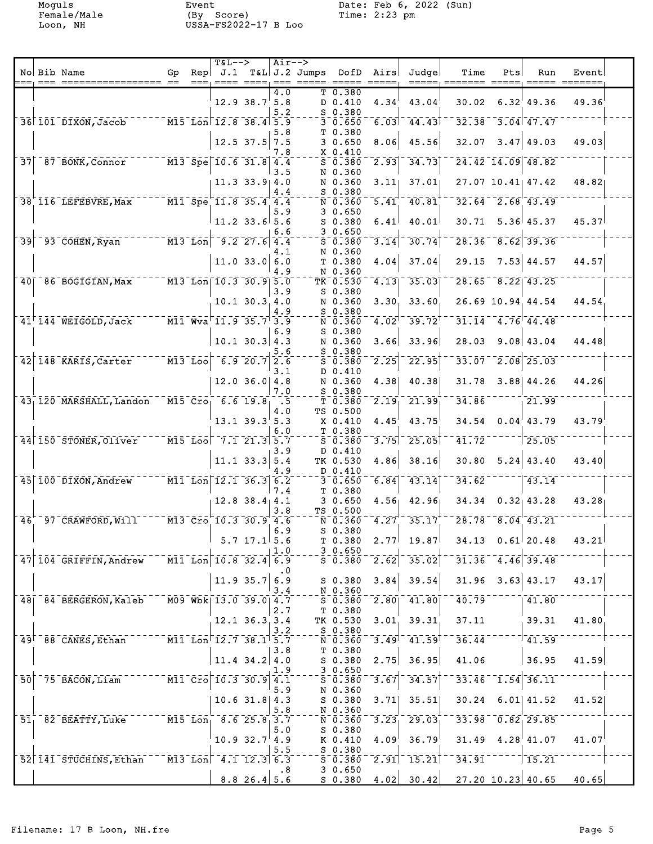Moguls Event Date: Feb 6, 2022 (Sun) Female/Male (By Score) Time: 2:23 pm Loon, NH USSA-FS2022-17 B Loo

|  |                                                          |  | $T&L--$ |                                                                                                                                                              | Air-->         |                                                                     |                                                                                                      |                      |                                         |                                                                                            |     |                                               |       |  |
|--|----------------------------------------------------------|--|---------|--------------------------------------------------------------------------------------------------------------------------------------------------------------|----------------|---------------------------------------------------------------------|------------------------------------------------------------------------------------------------------|----------------------|-----------------------------------------|--------------------------------------------------------------------------------------------|-----|-----------------------------------------------|-------|--|
|  | No Bib Name                                              |  |         |                                                                                                                                                              |                | Gp Rep J.1 T&L J.2 Jumps DofD Airs<br>=== ==== ==== === ===== ===== |                                                                                                      |                      | Judge                                   | Time                                                                                       | Pts | Run                                           | Event |  |
|  |                                                          |  |         | 12.9 38.7 5.8                                                                                                                                                | 4.0<br>5.2     |                                                                     | T 0.380<br>D 0.410<br>$S$ 0.380                                                                      | 4.34                 | 43.04                                   | 30.02                                                                                      |     | $6.32'$ 49.36                                 | 49.36 |  |
|  | 36 101 DIXON, Jacob M15 Lon 12.8 38.4 5.9                |  |         |                                                                                                                                                              |                |                                                                     | 30.650                                                                                               |                      | $6.03$ <sup>-</sup> 44.43               |                                                                                            |     | $32.38$ <sup>-3</sup> .04 <sup>-47</sup> .47  |       |  |
|  |                                                          |  |         | $12.5$ 37.5 7.5                                                                                                                                              | 5.8            |                                                                     | T 0.380<br>30.650                                                                                    | 8.06                 | 45.56                                   | 32.07                                                                                      |     | $3.47$ 49.03                                  | 49.03 |  |
|  | 37 87 BONK, Connor M13 Spe 10.6 31.8 4.4                 |  |         |                                                                                                                                                              | 7.8            |                                                                     | X 0.410<br>$5 - 0.380$                                                                               | $\sqrt{2.93}$        | 34.73                                   |                                                                                            |     | 24.42 14.09 48.82                             |       |  |
|  |                                                          |  |         | $11.3$ 33.9 4.0                                                                                                                                              | 3.5            |                                                                     | N 0.360<br>N 0.360                                                                                   | 3.11                 | 37.01                                   |                                                                                            |     | 27.07 10.41 47.42                             | 48.82 |  |
|  | 38 116 LEFEBVRE, Max M11 Spe 11.8 35.4 4.4               |  |         |                                                                                                                                                              | 4.4            |                                                                     | $S$ 0.380<br>$\bar{N}$ $\bar{0}$ .360                                                                | $\overline{5.41}$    | 40.81                                   |                                                                                            |     | $32.64 - 2.68$ 43.49                          |       |  |
|  |                                                          |  |         | $11.2$ 33.6 5.6                                                                                                                                              | 5.9            |                                                                     | 30.650<br>S 0.380                                                                                    | 6.41                 | 40.01                                   |                                                                                            |     | $30.71$ 5.36 45.37                            | 45.37 |  |
|  | $39 - 93$ COHEN, Ryan $13$ Lon <sup>-9</sup> .2 27.6 4.4 |  |         |                                                                                                                                                              | 6.6            |                                                                     | 30.650<br>S 0.380                                                                                    | $\sqrt{3.14}$        | 30.74                                   | $\bar{28.36}$                                                                              |     | $-8.62$ 39.36                                 |       |  |
|  |                                                          |  |         |                                                                                                                                                              | 4.1            |                                                                     | N 0.360                                                                                              |                      |                                         |                                                                                            |     |                                               |       |  |
|  |                                                          |  |         | 11.0 33.0 6.0                                                                                                                                                | 4.9            |                                                                     | T <sub>0.380</sub><br>N 0.360                                                                        | 4.04                 | 37.04                                   | 29.15                                                                                      |     | 7.53 44.57                                    | 44.57 |  |
|  | 40  86 BOGIGIAN, Max M13 Lon 10.3 30.9 5.0               |  |         |                                                                                                                                                              | 3.9            |                                                                     | TR 0.530 4.13<br>S 0.380                                                                             |                      | 35.03                                   |                                                                                            |     | $28.65 - 8.22 - 43.25$                        |       |  |
|  |                                                          |  |         | $10.1$ 30.3 4.0                                                                                                                                              | 4.9            |                                                                     | N 0.360<br>$S$ 0.380                                                                                 | 3.30                 | 33.60                                   |                                                                                            |     | 26.69 10.94 44.54                             | 44.54 |  |
|  | 41 144 WEIGOLD, Jack 7 11 Wva 11.9 35.7 3.9              |  |         |                                                                                                                                                              | 6.9            |                                                                     | $N$ $0.360$<br>$S_0.380$                                                                             | $-4.02$ <sup>1</sup> | $-39.72$ <sup>†</sup>                   |                                                                                            |     | $31.14 - 4.76$ $44.48$                        |       |  |
|  |                                                          |  |         | $10.1$ 30.3 4.3                                                                                                                                              | 5.6            |                                                                     | N 0.360<br>S 0.380                                                                                   | 3.66                 | 33.96                                   | 28.03                                                                                      |     | $9.08$ 43.04                                  | 44.48 |  |
|  | 42 148 KARIS, Carter M13 Loo 6.9 20.7 2.6                |  |         |                                                                                                                                                              | 3.1            |                                                                     | $\bar{s}$ <sup>-</sup> $\bar{0}$ . $\bar{3}\bar{8}\bar{0}$<br>$D$ 0.410                              | $\sqrt{2.25}$        | 22.95                                   |                                                                                            |     | $33.07$ <sup>--</sup> 2.08 <sup>-</sup> 25.03 |       |  |
|  |                                                          |  |         | $12.0$ 36.0 4.8                                                                                                                                              | 7.0            |                                                                     | N 0.360<br>S 0.380                                                                                   | 4.38                 | 40.38                                   |                                                                                            |     | 31.78 3.88 44.26                              | 44.26 |  |
|  | 43, 120 MARSHALL, Landon M15 Cro, 6.6 19.8               |  |         |                                                                                                                                                              | $\overline{5}$ |                                                                     | T 0.380                                                                                              | $\overline{2.19}$    | 21.99                                   | 34.86                                                                                      |     | $\frac{1}{1}$ 21.99                           |       |  |
|  |                                                          |  |         | $13.1$ $39.3$ $5.3$                                                                                                                                          | 4.0            |                                                                     | TS 0.500<br>X 0.410                                                                                  | 4.45                 | 43.75                                   |                                                                                            |     | $34.54$ $0.04$ $43.79$                        | 43.79 |  |
|  | 44 150 STONER, Oliver                                    |  |         | $-$ M15-Loo $-7.1$ 21.3 5.7                                                                                                                                  | 6.0            |                                                                     | T 0.380<br>$5 - 0.380$                                                                               |                      | $\left\lceil 3.75 \right\rceil$ - 25.05 | 41.72                                                                                      |     |                                               |       |  |
|  |                                                          |  |         | $11.1$ 33.3 5.4                                                                                                                                              | 3.9            |                                                                     | D 0.410<br>TK 0.530                                                                                  | 4.86                 | 38.16                                   | 30.80                                                                                      |     | $5.24 \mid 43.40$                             | 43.40 |  |
|  | 45 100 DIXON, Andrew M11 Lon 12.1 36.3 6.2               |  |         |                                                                                                                                                              | 4.9            |                                                                     | D 0.410<br>$-30.650$                                                                                 | 6.84                 | 43.14                                   | 34.62                                                                                      |     | 43.14                                         |       |  |
|  |                                                          |  |         | $12.8$ 38.4 4.1                                                                                                                                              | 7.4            |                                                                     | T <sub>0.380</sub><br>30.650                                                                         |                      | $4.56$ $42.96$                          |                                                                                            |     | $34.34$ 0.32 43.28                            | 43.28 |  |
|  | 46 97 CRAWFORD, Will M13 Cro 10.3 30.9 4.6               |  |         |                                                                                                                                                              | 3.8            |                                                                     | TS 0.500                                                                                             |                      |                                         | $\overline{N}$ 0.360 $\overline{4}$ .27 35.17 $\overline{28}$ .78 $\overline{8}$ .04 43.21 |     |                                               |       |  |
|  |                                                          |  |         | $5.7$ 17.1 5.6                                                                                                                                               | 6.9            |                                                                     | S 0.380<br>T 0.380                                                                                   |                      | $2.77$ 19.87                            | $34.13$ 0.61 20.48                                                                         |     |                                               | 43.21 |  |
|  | 47 104 GRIFFIN, Andrew M11 Lon 10.8 32.4 6.9             |  |         |                                                                                                                                                              | 1.0            |                                                                     | 30.650<br>$5 - 0.380$                                                                                | $\sqrt{2.62}$        | 35.02                                   |                                                                                            |     | $31.36 - 4.46$ 39.48                          |       |  |
|  |                                                          |  |         | 11.9 35.76.9                                                                                                                                                 |                |                                                                     | $S$ 0.380                                                                                            | 3.84                 | 39.54                                   |                                                                                            |     | $31.96$ $3.63$ $43.17$                        | 43.17 |  |
|  | 48  84 BERGERON, Kaleb M09 Wbk  13.0 39.0  4.7           |  |         |                                                                                                                                                              | 3.4            |                                                                     | N 0.360                                                                                              |                      | $5^-0.380^-2.80^-41.80$                 | $40.79$ <sup>--</sup>                                                                      |     | $\frac{1}{1}$ 41.80                           |       |  |
|  |                                                          |  |         |                                                                                                                                                              | 2.7            |                                                                     | T 0.380                                                                                              |                      |                                         |                                                                                            |     |                                               | 41.80 |  |
|  |                                                          |  |         | $12.1$ 36.3 3.4                                                                                                                                              | 3.2            |                                                                     | S 0.380                                                                                              |                      | TK 0.530 3.01 39.31                     | 37.11                                                                                      |     | 39.31                                         |       |  |
|  | $49† 88$ CANES, Ethan                                    |  |         | $\overline{11}$ $\overline{10n}$ $\overline{12.7}$ $\overline{38.1}$ $\overline{5.7}$                                                                        | 3.8            |                                                                     | $\bar{\texttt{N}}$ 0.360 $^{-1}$<br>T 0.380                                                          |                      | $\overline{3.49}$ $\overline{41.59}^+$  | $36.44$ <sup>-</sup>                                                                       |     | $-17 - 59$                                    |       |  |
|  |                                                          |  |         | $11.4$ 34.2 4.0                                                                                                                                              | 1.9            |                                                                     | S 0.380<br>30.650                                                                                    | 2.75                 | 36.95                                   | 41.06                                                                                      |     | 36.95                                         | 41.59 |  |
|  | $50$ <sup>-75</sup> BACON, Liam                          |  |         | $\overline{10}$ $\overline{11}$ $\overline{10}$ $\overline{10}$ $\overline{10}$ $\overline{3}$ $\overline{30}$ $\overline{9}$ $\overline{4}$ $\overline{11}$ | 5.9            |                                                                     | $\overline{S}$ $\overline{0}$ $\overline{.}$ $\overline{3}$ $\overline{8}$ $\overline{0}$<br>N 0.360 | $3.67$ <sup>-</sup>  | 34.57                                   |                                                                                            |     | $33.46 - 1.54 - 36.11$                        |       |  |
|  |                                                          |  |         | $10.6$ 31.8 4.3                                                                                                                                              | 5.8            |                                                                     | S 0.380<br>N 0.360                                                                                   | 3.71                 | 35.51                                   | 30.24                                                                                      |     | $6.01$   41.52                                | 41.52 |  |
|  | $51^\circ$ 82 BEATTY, Luke                               |  |         | $\overline{M15}$ Lon, 8.6 25.8 3.7                                                                                                                           | 5.0            |                                                                     | $\overline{N}$ 0.360 $\overline{3}$ .23<br>$S$ 0.380                                                 |                      | 29.03                                   |                                                                                            |     | $33.98 - 0.82$ 29.85                          |       |  |
|  |                                                          |  |         | $10.9 32.7$ <sup>1</sup> 4.9                                                                                                                                 | 5.5            |                                                                     | K 0.410<br>$S$ 0.380                                                                                 |                      | $4.09^{1}$ 36.79                        |                                                                                            |     | $31.49$ $4.28$ $41.07$                        | 41.07 |  |
|  | 52 141 STUCHINS, Ethan M13 Lon 4.1 12.3 6.3              |  |         |                                                                                                                                                              |                |                                                                     |                                                                                                      |                      | $5^-0.380^-2.91^-15.21$                 | 34.91                                                                                      |     | $    15.21$                                   |       |  |
|  |                                                          |  |         | 8.826.45.6                                                                                                                                                   | $\cdot$ 8      |                                                                     | 30.650                                                                                               |                      |                                         | $S$ 0.380 4.02 30.42 27.20 10.23 40.65 40.65                                               |     |                                               |       |  |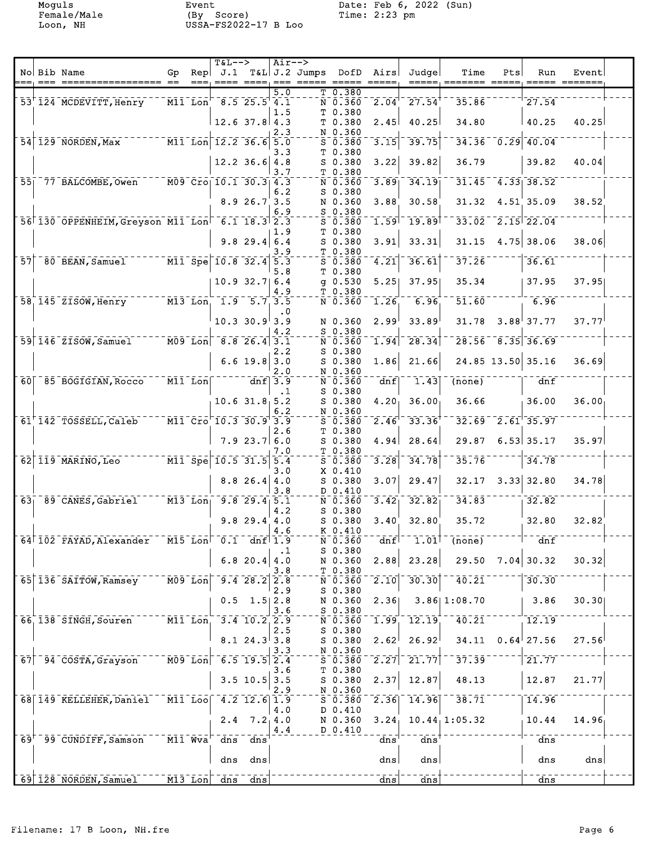Female/Male (By Score) Time: 2:23 pm Loon, NH USSA-FS2022-17 B Loo

Moguls Event Date: Feb 6, 2022 (Sun)

|  |                                                  |                                                                              |     | <b>T&amp;L--&gt;</b> |                                                                                                                                                                                                                                                                                                                   |           | $Air--$                                               |                                                                              |                   |                                          |                                            |     |                                  |           |  |
|--|--------------------------------------------------|------------------------------------------------------------------------------|-----|----------------------|-------------------------------------------------------------------------------------------------------------------------------------------------------------------------------------------------------------------------------------------------------------------------------------------------------------------|-----------|-------------------------------------------------------|------------------------------------------------------------------------------|-------------------|------------------------------------------|--------------------------------------------|-----|----------------------------------|-----------|--|
|  | No Bib Name                                      | Gp.                                                                          | Rep | J.1                  |                                                                                                                                                                                                                                                                                                                   |           | T&L J.2 Jumps DofD<br>===, ==== ====, === ===== ===== |                                                                              | Airs<br>$=====$   | Judge                                    | Time<br>=====, ======= =====, ===== ====== | Pts | Run                              | Event     |  |
|  |                                                  |                                                                              |     |                      |                                                                                                                                                                                                                                                                                                                   | 5.0       |                                                       | T0.380                                                                       |                   |                                          |                                            |     |                                  |           |  |
|  | 53 124 MCDEVITT, Henry M11 Lon 8.5 25.5 4.1      |                                                                              |     |                      |                                                                                                                                                                                                                                                                                                                   |           |                                                       | $\overline{N}$ $\overline{0}$ . $\overline{3}$ $\overline{6}$ $\overline{0}$ | $\sqrt{2.04}$     | $-27.54$ <sup>T</sup>                    | $35.86^{-1}$                               |     | 27.54                            |           |  |
|  |                                                  |                                                                              |     | $12.6$ 37.8 4.3      |                                                                                                                                                                                                                                                                                                                   | 1.5       |                                                       | T 0.380<br>T 0.380                                                           | 2.45              | 40.25                                    | 34.80                                      |     | 40.25                            | 40.25     |  |
|  |                                                  |                                                                              |     |                      |                                                                                                                                                                                                                                                                                                                   | 2.3       |                                                       | N 0.360                                                                      |                   |                                          |                                            |     |                                  |           |  |
|  | 54 129 NORDEN, Max M11 Lon 12.2 36.6 5.0         |                                                                              |     |                      |                                                                                                                                                                                                                                                                                                                   | 3.3       |                                                       | $S$ 0.380<br>T 0.380                                                         | 3.15              | 39.75                                    |                                            |     | $34.36 - 0.29 - 40.04$           |           |  |
|  |                                                  |                                                                              |     |                      | $12.2$ 36.6 4.8                                                                                                                                                                                                                                                                                                   |           |                                                       | $S$ 0.380                                                                    | 3.22              | 39.82                                    | 36.79                                      |     | 39.82                            | 40.04     |  |
|  |                                                  |                                                                              |     |                      |                                                                                                                                                                                                                                                                                                                   | 3.7       |                                                       | T 0.380                                                                      |                   |                                          |                                            |     |                                  |           |  |
|  | 55 77 BALCOMBE, Owen M09 Cro 10.1 30.3 4.3       |                                                                              |     |                      |                                                                                                                                                                                                                                                                                                                   | 6.2       |                                                       | $\bar{N}$ $\bar{0}$ $\bar{.}36\bar{0}$<br>S 0.380                            | 3.89              | 34.19                                    |                                            |     | $31.45 - 4.33$ 38.52             |           |  |
|  |                                                  |                                                                              |     |                      | 8.926.73.5                                                                                                                                                                                                                                                                                                        |           |                                                       | N 0.360                                                                      | 3.88              | 30.58                                    | 31.32                                      |     | $4.51$ 35.09                     | 38.52     |  |
|  |                                                  |                                                                              |     |                      |                                                                                                                                                                                                                                                                                                                   | 6.9       |                                                       | S 0.380                                                                      |                   |                                          |                                            |     |                                  |           |  |
|  | 56 130 OPPENHEIM, Greyson M11 Lon 6.1 18.3 2.3   |                                                                              |     |                      |                                                                                                                                                                                                                                                                                                                   | 1.9       |                                                       | $5 - 0.380$<br>T 0.380                                                       | 1.59              | 19.89                                    |                                            |     | $33.02 - 2.15$ $22.04$           |           |  |
|  |                                                  |                                                                              |     |                      | $9.8$ 29.4 6.4                                                                                                                                                                                                                                                                                                    |           |                                                       | $S$ 0.380                                                                    | 3.91              | 33.31                                    |                                            |     | $31.15$ 4.75 38.06               | 38.06     |  |
|  |                                                  |                                                                              |     |                      |                                                                                                                                                                                                                                                                                                                   | 3.9       |                                                       | T 0.380                                                                      |                   |                                          |                                            |     |                                  |           |  |
|  | 57 80 BEAN, Samuel M11 Spe 10.8 32.4 5.3         |                                                                              |     |                      |                                                                                                                                                                                                                                                                                                                   | 5.8       |                                                       | $S$ 0.380<br>T <sub>0.380</sub>                                              | 4.21              | 36.61                                    | 37.26                                      |     | 36.61                            |           |  |
|  |                                                  |                                                                              |     |                      | $10.9$ 32.7 6.4                                                                                                                                                                                                                                                                                                   |           |                                                       | $g$ 0.530                                                                    | 5.25              | 37.95                                    |                                            |     | 35.34   37.95                    | 37.95     |  |
|  | 58 145 ZISOW, Henry M13 Lon 1.9 5.7 3.5          |                                                                              |     |                      |                                                                                                                                                                                                                                                                                                                   | 4.9       |                                                       | T 0.380                                                                      |                   |                                          | $51.60 -$                                  |     |                                  |           |  |
|  |                                                  |                                                                              |     |                      |                                                                                                                                                                                                                                                                                                                   | $\cdot$ 0 |                                                       | $N$ <sup>0.360</sup>                                                         | 1.26              | $-6.96$                                  |                                            |     | $1 - 6.96$                       |           |  |
|  |                                                  |                                                                              |     |                      | $10.3$ 30.9 3.9                                                                                                                                                                                                                                                                                                   |           |                                                       | N 0.360                                                                      | 2.99              | 33.89                                    |                                            |     | $31.78$ $3.88$ 37.77             | 37.77     |  |
|  | 59 146 ZISOW, Samuel 7009 Lon 8.8 26.4 3.1       |                                                                              |     |                      |                                                                                                                                                                                                                                                                                                                   | 4.2       |                                                       | $S$ 0.380                                                                    |                   | $\left[ 1.94 \right]$ 28.34              |                                            |     | $28.56 - 8.35 - 36.69$           |           |  |
|  |                                                  |                                                                              |     |                      |                                                                                                                                                                                                                                                                                                                   | 2.2       |                                                       | $N$ $0.360$<br>$S_0.380$                                                     |                   |                                          |                                            |     |                                  |           |  |
|  |                                                  |                                                                              |     |                      | $6.6$ 19.8 3.0                                                                                                                                                                                                                                                                                                    |           |                                                       | S 0.380                                                                      | 1.86              | 21.66                                    |                                            |     | 24.85 13.50 35.16                | 36.69     |  |
|  | 60 85 BOGIGIAN, Rocco                            | $\overline{\texttt{Mil}}$ $\overline{\texttt{lon}}$ $\overline{\texttt{--}}$ |     |                      | $\frac{1}{\pi}$ = $\frac{1}{\pi}$ = $\frac{1}{\pi}$ = $\frac{1}{\pi}$ = $\frac{1}{\pi}$ = $\frac{1}{\pi}$ = $\frac{1}{\pi}$ = $\frac{1}{\pi}$ = $\frac{1}{\pi}$ = $\frac{1}{\pi}$ = $\frac{1}{\pi}$ = $\frac{1}{\pi}$ = $\frac{1}{\pi}$ = $\frac{1}{\pi}$ = $\frac{1}{\pi}$ = $\frac{1}{\pi}$ = $\frac{1}{\pi}$ = | 2.0       |                                                       | N 0.360<br>$N$ 0.360                                                         | $\overline{dnf}$  | $^{-1}$ $\overline{1.43}$ $\overline{3}$ | $\overline{(\texttt{none})}$               |     | $\overline{a}$ on $\overline{f}$ |           |  |
|  |                                                  |                                                                              |     |                      |                                                                                                                                                                                                                                                                                                                   | $\cdot$ 1 |                                                       | $S$ 0.380                                                                    |                   |                                          |                                            |     |                                  |           |  |
|  |                                                  |                                                                              |     | $10.6$ 31.8 5.2      |                                                                                                                                                                                                                                                                                                                   |           |                                                       | S 0.380                                                                      | 4.20 <sub>1</sub> | 36.00 <sub>1</sub>                       | 36.66                                      |     | 136.00                           | $36.00_1$ |  |
|  | 61 142 TOSSELL, Caleb M11 Cro 10.3 30.9 3.9      |                                                                              |     |                      |                                                                                                                                                                                                                                                                                                                   | 6.2       |                                                       | N 0.360<br>$S = 0.380$                                                       | $\sqrt{2.46}$     | $33.36^{+}$                              |                                            |     | $32.69 - 2.61 - 35.97$           |           |  |
|  |                                                  |                                                                              |     |                      |                                                                                                                                                                                                                                                                                                                   | 2.6       |                                                       | T 0.380                                                                      |                   |                                          |                                            |     |                                  |           |  |
|  |                                                  |                                                                              |     |                      | 7.923.76.0                                                                                                                                                                                                                                                                                                        |           |                                                       | $S$ 0.380                                                                    | 4.94              | 28.64                                    | 29.87                                      |     | $6.53$ 35.17                     | 35.97     |  |
|  | 62 119 MARINO, Leo M11 Spe 10.5 31.5 5.4         |                                                                              |     |                      |                                                                                                                                                                                                                                                                                                                   | 7.0       |                                                       | T 0.380<br>$5 - 0.380$                                                       | 3.28              | 34.78                                    | 35.76                                      |     | 34.78                            |           |  |
|  |                                                  |                                                                              |     |                      |                                                                                                                                                                                                                                                                                                                   | 3.0       |                                                       | X 0.410                                                                      |                   |                                          |                                            |     |                                  |           |  |
|  |                                                  |                                                                              |     |                      | $8.8$ 26.4 4.0                                                                                                                                                                                                                                                                                                    |           |                                                       | S 0.380                                                                      | 3.07              | 29.47                                    | 32.17                                      |     | $3.33$ 32.80                     | 34.78     |  |
|  | 63 89 CANES, Gabriel M13 Lon, 9.8 29.4 5.1       |                                                                              |     |                      |                                                                                                                                                                                                                                                                                                                   | 3.8       |                                                       | D 0.410<br>$\bar{N}$ $\bar{0}$ $\bar{.}$ $\bar{3}$ $\bar{6}$ $\bar{0}$       | $\overline{3.42}$ | 32.82                                    |                                            |     | $34.83$ <sup>------</sup> 32.82  |           |  |
|  |                                                  |                                                                              |     |                      |                                                                                                                                                                                                                                                                                                                   | 4.2       |                                                       | S 0.380                                                                      |                   |                                          |                                            |     |                                  |           |  |
|  |                                                  |                                                                              |     |                      | $9.8$ 29.4 4.0                                                                                                                                                                                                                                                                                                    | 4.6       |                                                       | S 0.380<br>K 0.410                                                           | 3.40 <sup>°</sup> | 32.80                                    | 35.72                                      |     | 32.80                            | 32.82     |  |
|  | 64 102 FAYAD, Alexander                          | $\overline{\texttt{M15}}$ Lon                                                |     | 0.1                  |                                                                                                                                                                                                                                                                                                                   | dnf $1.9$ |                                                       | N 0.360                                                                      | dnf               | 1.01                                     | (none)                                     |     | dnf                              |           |  |
|  |                                                  |                                                                              |     |                      |                                                                                                                                                                                                                                                                                                                   | .1        |                                                       | $S$ 0.380                                                                    |                   |                                          |                                            |     |                                  |           |  |
|  |                                                  |                                                                              |     |                      | $6.8$ 20.4 4.0                                                                                                                                                                                                                                                                                                    | 3.8       |                                                       | N 0.360<br>T 0.380                                                           | 2.88              | 23.28                                    | 29.50                                      |     | $7.04$ 30.32                     | 30.32     |  |
|  | 65 136 SAITOW, Ramsey                            | $\overline{M09}$ Lon                                                         |     |                      | $9.4$ 28.2 2.8                                                                                                                                                                                                                                                                                                    |           |                                                       | N 0.360                                                                      | 2.10              | $\overline{30.30}$                       | 40.21                                      |     | 30.30                            |           |  |
|  |                                                  |                                                                              |     |                      |                                                                                                                                                                                                                                                                                                                   | 2.9       |                                                       | $S$ 0.380                                                                    |                   |                                          |                                            |     |                                  |           |  |
|  |                                                  |                                                                              |     | 0.5                  | $1.5$   2.8                                                                                                                                                                                                                                                                                                       | 3.6       |                                                       | N 0.360<br>S 0.380                                                           | 2.36              |                                          | 3.86 1:08.70                               |     | 3.86                             | 30.30     |  |
|  | 66 138 SINGH, Souren                             | $\overline{M11}$ Lon                                                         |     |                      | $3.4$ 10.2 2.9                                                                                                                                                                                                                                                                                                    |           |                                                       | N 0.360                                                                      | $\overline{1.99}$ | 12.19                                    | 40.21                                      |     | 12.19                            |           |  |
|  |                                                  |                                                                              |     |                      | 8.124.333.8                                                                                                                                                                                                                                                                                                       | 2.5       |                                                       | $S$ 0.380<br>$S$ 0.380                                                       | 2.62              | 26.92                                    | 34.11                                      |     | $0.64$ <sup>27.56</sup>          | 27.56     |  |
|  |                                                  |                                                                              |     |                      |                                                                                                                                                                                                                                                                                                                   | 3.3       |                                                       | N 0.360                                                                      |                   |                                          |                                            |     |                                  |           |  |
|  | $67$ <sup>-94</sup> $\overline{COSTA}$ , Grayson | $\overline{M09}$ Lon                                                         |     |                      | $6.5$ 19.5 2.4                                                                                                                                                                                                                                                                                                    |           |                                                       | $S$ 0.380                                                                    | 2.27              | [21.77]                                  | 37.39                                      |     | 21.77                            |           |  |
|  |                                                  |                                                                              |     |                      | $3.5$ 10.5 3.5                                                                                                                                                                                                                                                                                                    | 3.6       |                                                       | T 0.380<br>$S$ 0.380                                                         | 2.37              | 12.87                                    | 48.13                                      |     | 12.87                            | 21.77     |  |
|  |                                                  |                                                                              |     |                      |                                                                                                                                                                                                                                                                                                                   | 2.9       |                                                       | N 0.360                                                                      |                   |                                          |                                            |     |                                  |           |  |
|  | 68 149 KELLEHER, Daniel                          | $\bar{M11}$ $\bar{L00}$                                                      |     |                      | $4.2$ 12.6 1.9                                                                                                                                                                                                                                                                                                    |           |                                                       | $5 - 0.380$                                                                  | 2.36              | $\overline{14.96}$                       | 38.71                                      |     | 14.96                            |           |  |
|  |                                                  |                                                                              |     | 2.4                  | 7.2, 4.0                                                                                                                                                                                                                                                                                                          | 4.0       |                                                       | D 0.410<br>N 0.360                                                           | 3.24              |                                          | $10.44$ , 1:05.32                          |     | 10.44                            | 14.96     |  |
|  |                                                  |                                                                              |     |                      |                                                                                                                                                                                                                                                                                                                   | 4.4       |                                                       | D 0.410                                                                      |                   |                                          |                                            |     |                                  |           |  |
|  | $69+$ 99 CUNDIFF, Samson                         | $\bar{M}$ l $\bar{1}$ $\bar{W}$ va                                           |     | $\bar{d}$ ns         | dns                                                                                                                                                                                                                                                                                                               |           |                                                       |                                                                              | $\bar{d}$ ns      | $\frac{1}{\text{dns}}$                   |                                            |     | $\overline{dns}$                 |           |  |
|  |                                                  |                                                                              |     | dns                  | dns                                                                                                                                                                                                                                                                                                               |           |                                                       |                                                                              | dns               | dns                                      |                                            |     | dns                              | dns       |  |
|  |                                                  |                                                                              |     |                      |                                                                                                                                                                                                                                                                                                                   |           |                                                       |                                                                              |                   |                                          |                                            |     |                                  |           |  |
|  | 69 128 NORDEN, Samuel                            | $\overline{M13}$ Lon                                                         |     | $\frac{dns}{n}$      | $\frac{dns}{n}$                                                                                                                                                                                                                                                                                                   |           |                                                       |                                                                              | dns               | $\frac{dns}{dt}$                         |                                            |     | dns                              |           |  |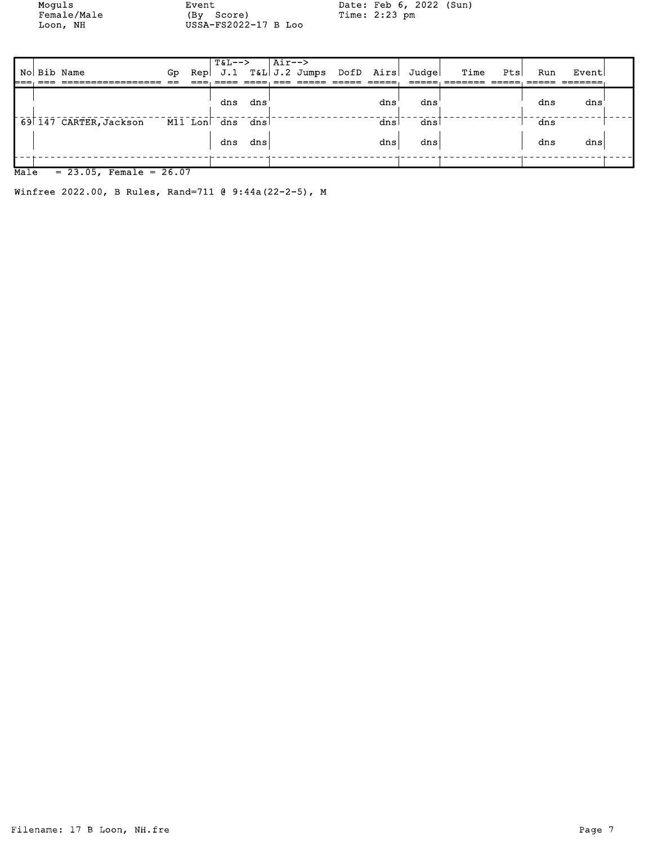Female/Male (By Score) Time: 2:23 pm Loon, NH USSA-FS2022-17 B Loo

Moguls Event Date: Feb 6, 2022 (Sun)

|           | No Bib Name            | Gp. |         | $T&L--&>$ |      | $\overline{\phantom{a} \text{Air--}}$ |  |     | Rep J.1 T&L J.2 Jumps DofD Airs Judge | Time | Pts | Run | Event |  |
|-----------|------------------------|-----|---------|-----------|------|---------------------------------------|--|-----|---------------------------------------|------|-----|-----|-------|--|
|           |                        |     |         | dns       | dns  |                                       |  | dns | dns                                   |      |     | dns | dns   |  |
|           | 69 147 CARTER, Jackson |     | M11 Lon | dns dns   |      |                                       |  | dns | dns                                   |      |     | dns |       |  |
|           |                        |     |         | dns       | dnsl |                                       |  | dns | dns                                   |      |     | dns | dns   |  |
| $M = 1 -$ | $-22.05$ $T = -26.07$  |     |         |           |      |                                       |  |     |                                       |      |     |     |       |  |

 $\overline{\text{Male}} = 23.05$ , Female = 26.07

Winfree 2022.00, B Rules, Rand=711 @ 9:44a(22-2-5), M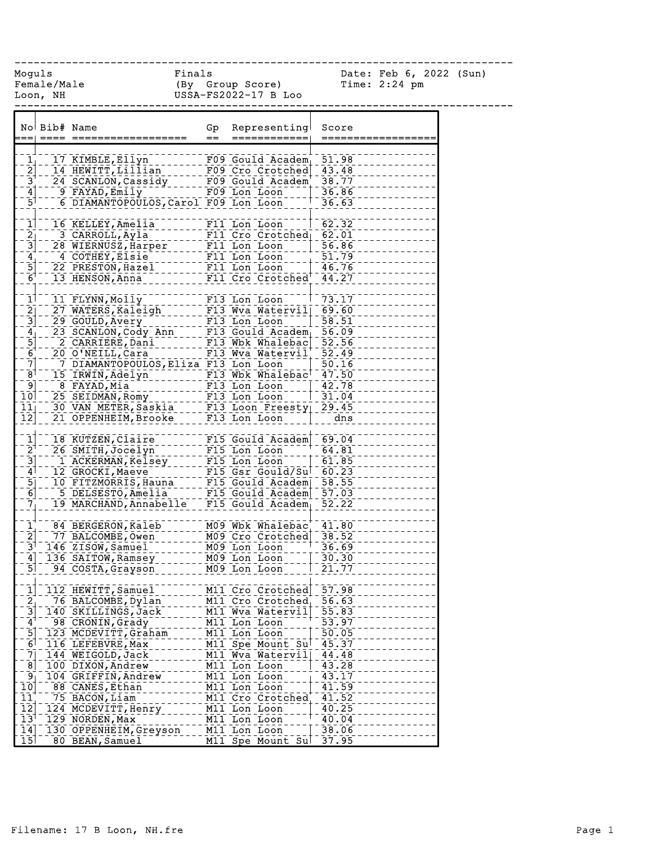| Moguls                                     | Loon, NH | Female/Male                                                                                                                                                       | Finals<br>(By Group Score)<br>USSA FOCCOS<br>USSA-FS2022-17 B Loo |                                                                                                                   |                    | Date: Feb 6, 2022 (Sun)<br>Time: $2:24$ pm |  |
|--------------------------------------------|----------|-------------------------------------------------------------------------------------------------------------------------------------------------------------------|-------------------------------------------------------------------|-------------------------------------------------------------------------------------------------------------------|--------------------|--------------------------------------------|--|
|                                            |          |                                                                                                                                                                   |                                                                   |                                                                                                                   |                    |                                            |  |
|                                            |          | No Bib# Name                                                                                                                                                      | $=$                                                               | Gp Representing<br>============                                                                                   | Score              |                                            |  |
|                                            |          |                                                                                                                                                                   |                                                                   |                                                                                                                   |                    |                                            |  |
| $\frac{1}{2}$                              |          | 17 KIMBLE, Ellyn - - - - - - - F09 Gould Academ<br>14 HEWITT, Lillian - - - - F09 Cro Crotched<br>24 SCANLON, Cassidy - - - - F09 Gould Academ<br>- 9 FAVAD Emily |                                                                   |                                                                                                                   | 51.98              |                                            |  |
|                                            |          |                                                                                                                                                                   |                                                                   |                                                                                                                   | 43.48              |                                            |  |
| $\bar{3}^{\dagger}$                        |          |                                                                                                                                                                   |                                                                   |                                                                                                                   | 38.77              |                                            |  |
| $\frac{1}{3}$                              |          | $9$ $FAYAD, Emily$<br>6 DIAMANTOPOULOS, Carol F09 Lon Loon                                                                                                        |                                                                   | F09 Lon Loon                                                                                                      | 36.86              |                                            |  |
|                                            |          |                                                                                                                                                                   |                                                                   |                                                                                                                   | 36.63              |                                            |  |
| $\mathbf{1}$                               |          | 16 KELLEY, Amelia                                                                                                                                                 | F11 Lon Loon                                                      |                                                                                                                   | 62.32              |                                            |  |
|                                            |          | 3 CARROLL, Ayla                                                                                                                                                   |                                                                   | F11 Cro Crotched 62.01                                                                                            |                    |                                            |  |
| $\frac{21}{5}$ $\frac{3}{5}$ $\frac{1}{5}$ |          | 28 WIERNUSZ, Harper F11 Lon Loon 156.86                                                                                                                           |                                                                   |                                                                                                                   |                    |                                            |  |
|                                            |          | 4 COTHEY, Elsie                                                                                                                                                   |                                                                   | $\begin{minipage}{.4\linewidth} \n  \hline\n  \texttt{F11} \n  \texttt{Ion} \n  \texttt{Loop} \n  \end{minipage}$ |                    |                                            |  |
|                                            |          | 22 PRESTON, Hazel                                                                                                                                                 |                                                                   | F11 Lon Loon                                                                                                      | $-51.79$<br>46.76  |                                            |  |
| $\bar{\mathsf{6}}^{\dagger}$               |          | 13 HENSON, Anna                                                                                                                                                   |                                                                   | F11 Cro Crotched <sup>'</sup> 44.27                                                                               |                    |                                            |  |
|                                            |          |                                                                                                                                                                   |                                                                   |                                                                                                                   |                    |                                            |  |
| 1                                          |          | 11 FLYNN, Molly                                                                                                                                                   |                                                                   | F13 Lon Loon                                                                                                      | $-73.17$           |                                            |  |
| $\overline{2}$ ]                           |          | 27 WATERS, Kaleigh F13 Wva Watervil 69.60                                                                                                                         |                                                                   |                                                                                                                   |                    |                                            |  |
| $\overline{3}$                             |          |                                                                                                                                                                   |                                                                   |                                                                                                                   | 58.51              |                                            |  |
|                                            |          |                                                                                                                                                                   |                                                                   |                                                                                                                   | 56.09              |                                            |  |
| $\frac{4}{5}$<br>$\frac{5}{6}$             |          | 29 GOULD, Avery<br>23 SCANLON, Cody Ann ---- F13 Gould Academ<br>23 SCANLON, Cody Ann ---- F13 Gould Academ<br>20 O'NETT Cars ------- F13 Wbk Whalebac            |                                                                   |                                                                                                                   | 52.56              |                                            |  |
|                                            |          | O O'NEILL,Cara - - - - - - - F13 Wva Watervil<br>7 DIAMANTOPOULOS,Eliza F13 Lon Loon -  <br>20 O'NEILL, Cara                                                      |                                                                   |                                                                                                                   | 52.49              |                                            |  |
| $\overline{\mathcal{I}}$                   |          |                                                                                                                                                                   |                                                                   |                                                                                                                   | 50.16              |                                            |  |
| $\bar{8}^{\dagger}$                        |          | 15 IRWIN, Adelyn F13 Wbk Whalebac <sup>1</sup> 47.50                                                                                                              |                                                                   |                                                                                                                   |                    |                                            |  |
| ךְפּ⊤<br>101                               |          |                                                                                                                                                                   |                                                                   |                                                                                                                   |                    |                                            |  |
|                                            |          |                                                                                                                                                                   |                                                                   |                                                                                                                   |                    |                                            |  |
| $\overline{1}\overline{1}$                 |          |                                                                                                                                                                   |                                                                   |                                                                                                                   |                    |                                            |  |
| 12                                         |          |                                                                                                                                                                   |                                                                   |                                                                                                                   |                    |                                            |  |
| $\mathbf{1}$                               |          | 18 KUTZEN, Claire                                                                                                                                                 |                                                                   | F15 Gould Academ 69.04                                                                                            |                    |                                            |  |
| $\bar{2}^{\dagger}$                        |          | 26 SMITH, Jocelyn                                                                                                                                                 |                                                                   | $F15$ Lon Loon                                                                                                    | 64.81              |                                            |  |
|                                            |          | 1 ACKERMAN, Kelsey                                                                                                                                                | F15 Lon Loon                                                      |                                                                                                                   | 61.85              |                                            |  |
| $\frac{1}{4}$                              |          | 12 GROCKI, Maeve--------- F15 Gsr Gould/Sul-<br>10 FITZMORRIS, Hauna ---- F15 Gould Academ<br>15 DEISEGEO - ------------------------                              |                                                                   |                                                                                                                   | 60.23              |                                            |  |
|                                            |          |                                                                                                                                                                   |                                                                   |                                                                                                                   | 58.55              |                                            |  |
| $\begin{bmatrix} 5 \\ 6 \end{bmatrix}$     |          |                                                                                                                                                                   |                                                                   |                                                                                                                   | $\overline{57.03}$ |                                            |  |
| $\overline{7}$                             |          |                                                                                                                                                                   |                                                                   | $F15$ Gould Academ                                                                                                | 52.22              |                                            |  |
|                                            |          |                                                                                                                                                                   |                                                                   |                                                                                                                   |                    |                                            |  |
| $\mathbf{1}$                               |          | 84 BERGERON, Kaleb                                                                                                                                                |                                                                   | M09 Wbk Whalebac 41.80                                                                                            |                    |                                            |  |
| $\overline{2}$                             |          | 77 BALCOMBE, Owen                                                                                                                                                 |                                                                   | M09 Cro Crotched                                                                                                  | $-38.52$           |                                            |  |
| $\bar{3}^{\dagger}$                        |          | 146 ZISOW, Samuel                                                                                                                                                 |                                                                   | M09 Lon Loon                                                                                                      | 36.69              |                                            |  |
| $\frac{4}{1}$                              |          | 136 SAITOW, Ramsey                                                                                                                                                |                                                                   | M09 Lon Loon                                                                                                      | 30.30              |                                            |  |
| $\overline{5}$                             |          | 94 COSTA, Grayson                                                                                                                                                 |                                                                   | M09 Lon Loon                                                                                                      | 21.77              |                                            |  |
| $\mathbf{1}$                               |          | 112 HEWITT, Samuel                                                                                                                                                |                                                                   | M11 Cro Crotched                                                                                                  | 57.98              |                                            |  |
|                                            |          | 76 BALCOMBE, Dylan                                                                                                                                                |                                                                   | M11 Cro Crotched                                                                                                  | 56.63              |                                            |  |
| $\frac{2}{3}$                              |          | 140 SKILLINGS, Jack                                                                                                                                               |                                                                   | M11 Wva Watervil                                                                                                  | 55.83              |                                            |  |
| $\mathbf{4}$                               |          | 98 CRONIN, Grady                                                                                                                                                  |                                                                   | M11 Lon Loon                                                                                                      | 53.97              |                                            |  |
| $\overline{5}$                             |          | 123 MCDEVITT, Graham                                                                                                                                              |                                                                   | M11 Lon Loon                                                                                                      | 50.05              |                                            |  |
| $\overline{6}$                             |          | 116 LEFEBVRE, Max                                                                                                                                                 |                                                                   | M11 Spe Mount Su                                                                                                  | 45.37              |                                            |  |
| $\bar{7}$                                  |          | 144 WEIGOLD, Jack                                                                                                                                                 |                                                                   | M11 Wva Watervil                                                                                                  | 44.48              |                                            |  |
| $\overline{8}$                             |          | 100 DIXON, Andrew                                                                                                                                                 |                                                                   | M11 Lon Loon                                                                                                      | 43.28              |                                            |  |
| $\mathbf{9}$                               |          | 104 GRIFFIN, Andrew                                                                                                                                               |                                                                   | M11 Lon Loon                                                                                                      | 43.17              |                                            |  |
| $10^{-}$                                   |          | 88 CANES, Ethan                                                                                                                                                   |                                                                   | M11 Lon Loon                                                                                                      | 41.59              |                                            |  |
| $\overline{11}$                            |          | 75 BACON, Liam                                                                                                                                                    |                                                                   | M11 Cro Crotched                                                                                                  | 41.52              |                                            |  |
| $\overline{12}$                            |          | 124 MCDEVITT, Henry                                                                                                                                               |                                                                   | M11 Lon Loon                                                                                                      | 40.25              |                                            |  |
| 13 <sup>1</sup>                            |          | 129 NORDEN, Max                                                                                                                                                   |                                                                   | M11 Lon Loon                                                                                                      | 40.04              |                                            |  |
| 14                                         |          | 130 OPPENHEIM, Greyson                                                                                                                                            |                                                                   | M11 Lon Loon                                                                                                      | 38.06              |                                            |  |
| 15                                         |          | 80 BEAN, Samuel                                                                                                                                                   |                                                                   | M11 Spe Mount Sul                                                                                                 | 37.95              |                                            |  |